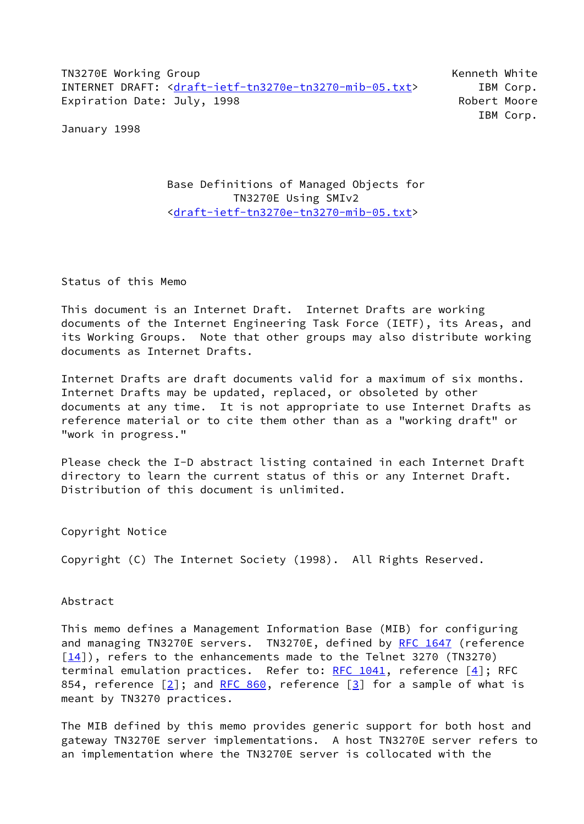TN3270E Working Group **Kenneth White** Kenneth White INTERNET DRAFT: [<draft-ietf-tn3270e-tn3270-mib-05.txt](https://datatracker.ietf.org/doc/pdf/draft-ietf-tn3270e-tn3270-mib-05.txt)> IBM Corp. Expiration Date: July, 1998 Robert Moore

IBM Corp.

January 1998

## Base Definitions of Managed Objects for TN3270E Using SMIv2 [<draft-ietf-tn3270e-tn3270-mib-05.txt](https://datatracker.ietf.org/doc/pdf/draft-ietf-tn3270e-tn3270-mib-05.txt)>

Status of this Memo

This document is an Internet Draft. Internet Drafts are working documents of the Internet Engineering Task Force (IETF), its Areas, and its Working Groups. Note that other groups may also distribute working documents as Internet Drafts.

Internet Drafts are draft documents valid for a maximum of six months. Internet Drafts may be updated, replaced, or obsoleted by other documents at any time. It is not appropriate to use Internet Drafts as reference material or to cite them other than as a "working draft" or "work in progress."

Please check the I-D abstract listing contained in each Internet Draft directory to learn the current status of this or any Internet Draft. Distribution of this document is unlimited.

Copyright Notice

Copyright (C) The Internet Society (1998). All Rights Reserved.

Abstract

This memo defines a Management Information Base (MIB) for configuring and managing TN3270E servers. TN3270E, defined by [RFC 1647](https://datatracker.ietf.org/doc/pdf/rfc1647) (reference  $[14]$ ), refers to the enhancements made to the Telnet 3270 (TN3270) terminal emulation practices. Refer to: [RFC 1041](https://datatracker.ietf.org/doc/pdf/rfc1041), reference [[4\]](#page-50-0); RFC 854, reference  $\lceil 2 \rceil$ ; and [RFC 860](https://datatracker.ietf.org/doc/pdf/rfc860), reference  $\lceil 3 \rceil$  for a sample of what is meant by TN3270 practices.

The MIB defined by this memo provides generic support for both host and gateway TN3270E server implementations. A host TN3270E server refers to an implementation where the TN3270E server is collocated with the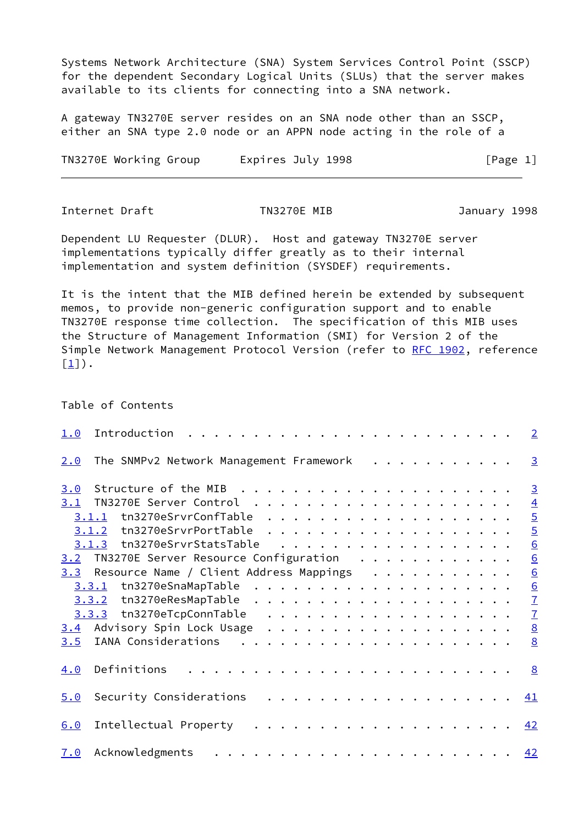Systems Network Architecture (SNA) System Services Control Point (SSCP) for the dependent Secondary Logical Units (SLUs) that the server makes available to its clients for connecting into a SNA network.

A gateway TN3270E server resides on an SNA node other than an SSCP, either an SNA type 2.0 node or an APPN node acting in the role of a

TN3270E Working Group Lexpires July 1998 [Page 1]

<span id="page-1-0"></span>Internet Draft TN3270E MIB January 1998

Dependent LU Requester (DLUR). Host and gateway TN3270E server implementations typically differ greatly as to their internal implementation and system definition (SYSDEF) requirements.

It is the intent that the MIB defined herein be extended by subsequent memos, to provide non-generic configuration support and to enable TN3270E response time collection. The specification of this MIB uses the Structure of Management Information (SMI) for Version 2 of the Simple Network Management Protocol Version (refer to [RFC 1902](https://datatracker.ietf.org/doc/pdf/rfc1902), reference  $[1]$ .

#### Table of Contents

| 1.0 | Introduction                                                                                                                                                                                                                                                                                                                                                                                                              | $\overline{2}$                       |
|-----|---------------------------------------------------------------------------------------------------------------------------------------------------------------------------------------------------------------------------------------------------------------------------------------------------------------------------------------------------------------------------------------------------------------------------|--------------------------------------|
| 2.0 | The SNMPv2 Network Management Framework<br>.                                                                                                                                                                                                                                                                                                                                                                              | $\overline{3}$                       |
| 3.0 |                                                                                                                                                                                                                                                                                                                                                                                                                           | $\overline{3}$                       |
| 3.1 |                                                                                                                                                                                                                                                                                                                                                                                                                           |                                      |
|     | 3.1.1                                                                                                                                                                                                                                                                                                                                                                                                                     |                                      |
|     |                                                                                                                                                                                                                                                                                                                                                                                                                           | 4<br>5<br>5<br>6<br>6<br>6<br>6<br>7 |
|     | tn3270eSrvrStatsTable<br>. The contract of the contract of the contract of the contract of the contract of the contract of the contract of the contract of the contract of the contract of the contract of the contract of the contract of the contrac<br>3.1.3                                                                                                                                                           |                                      |
|     | 3.2 TN3270E Server Resource Configuration                                                                                                                                                                                                                                                                                                                                                                                 |                                      |
| 3.3 | Resource Name / Client Address Mappings                                                                                                                                                                                                                                                                                                                                                                                   |                                      |
|     |                                                                                                                                                                                                                                                                                                                                                                                                                           |                                      |
|     |                                                                                                                                                                                                                                                                                                                                                                                                                           |                                      |
|     |                                                                                                                                                                                                                                                                                                                                                                                                                           | $\frac{7}{8}$                        |
| 3.4 |                                                                                                                                                                                                                                                                                                                                                                                                                           |                                      |
| 3.5 | IANA Considerations                                                                                                                                                                                                                                                                                                                                                                                                       | 8                                    |
| 4.0 | Definitions                                                                                                                                                                                                                                                                                                                                                                                                               | 8                                    |
| 5.0 | .<br>Security Considerations                                                                                                                                                                                                                                                                                                                                                                                              | <u>41</u>                            |
| 6.0 | Intellectual Property                                                                                                                                                                                                                                                                                                                                                                                                     | 42                                   |
| 7.0 | $\mathcal{A}^{(n)} \left( \mathcal{A}^{(n)} \left( \mathcal{A}^{(n)} \left( \mathcal{A}^{(n)} \left( \mathcal{A}^{(n)} \right) \right) \right) \right) \left( \mathcal{A}^{(n)} \left( \mathcal{A}^{(n)} \left( \mathcal{A}^{(n)} \left( \mathcal{A}^{(n)} \right) \right) \right) \right) \left( \mathcal{A}^{(n)} \left( \mathcal{A}^{(n)} \left( \mathcal{A}^{(n)} \right) \right) \right) \right)$<br>Acknowledgments | 42                                   |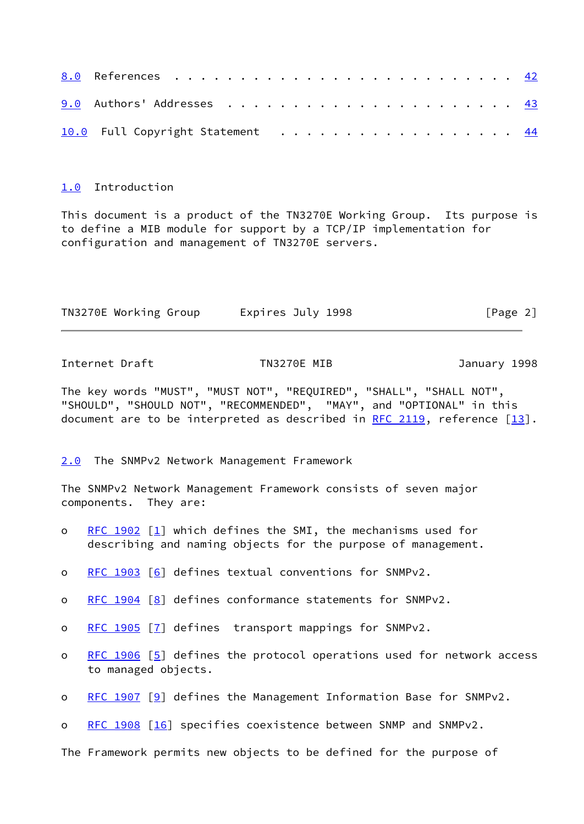| 10.0 Full Copyright Statement 44 |  |  |  |  |  |  |  |  |  |  |
|----------------------------------|--|--|--|--|--|--|--|--|--|--|

## <span id="page-2-0"></span>[1.0](#page-2-0) Introduction

This document is a product of the TN3270E Working Group. Its purpose is to define a MIB module for support by a TCP/IP implementation for configuration and management of TN3270E servers.

| TN3270E Working Group | Expires July 1998 | [Page 2] |
|-----------------------|-------------------|----------|
|                       |                   |          |

<span id="page-2-2"></span>Internet Draft TN3270E MIB January 1998

The key words "MUST", "MUST NOT", "REQUIRED", "SHALL", "SHALL NOT", "SHOULD", "SHOULD NOT", "RECOMMENDED", "MAY", and "OPTIONAL" in this document are to be interpreted as described in [RFC 2119,](https://datatracker.ietf.org/doc/pdf/rfc2119) reference [\[13\]](#page-51-3).

<span id="page-2-1"></span>[2.0](#page-2-1) The SNMPv2 Network Management Framework

The SNMPv2 Network Management Framework consists of seven major components. They are:

- o [RFC 1902](https://datatracker.ietf.org/doc/pdf/rfc1902)  $[1]$  $[1]$  which defines the SMI, the mechanisms used for describing and naming objects for the purpose of management.
- o [RFC 1903](https://datatracker.ietf.org/doc/pdf/rfc1903) [[6\]](#page-51-4) defines textual conventions for SNMPv2.
- o [RFC 1904](https://datatracker.ietf.org/doc/pdf/rfc1904) [[8\]](#page-51-5) defines conformance statements for SNMPv2.
- o [RFC 1905](https://datatracker.ietf.org/doc/pdf/rfc1905) [[7\]](#page-51-6) defines transport mappings for SNMPv2.
- o [RFC 1906](https://datatracker.ietf.org/doc/pdf/rfc1906) [[5\]](#page-50-7) defines the protocol operations used for network access to managed objects.
- o [RFC 1907](https://datatracker.ietf.org/doc/pdf/rfc1907) [[9\]](#page-51-7) defines the Management Information Base for SNMPv2.
- o [RFC 1908](https://datatracker.ietf.org/doc/pdf/rfc1908) [[16\]](#page-51-8) specifies coexistence between SNMP and SNMPv2.

The Framework permits new objects to be defined for the purpose of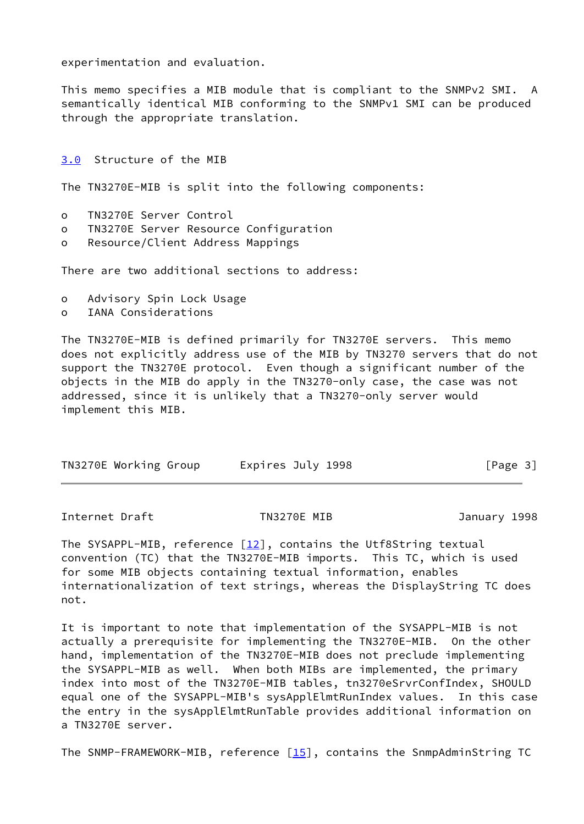experimentation and evaluation.

This memo specifies a MIB module that is compliant to the SNMPv2 SMI. A semantically identical MIB conforming to the SNMPv1 SMI can be produced through the appropriate translation.

#### <span id="page-3-0"></span>[3.0](#page-3-0) Structure of the MIB

The TN3270E-MIB is split into the following components:

- o TN3270E Server Control
- o TN3270E Server Resource Configuration
- o Resource/Client Address Mappings

There are two additional sections to address:

- o Advisory Spin Lock Usage
- o IANA Considerations

The TN3270E-MIB is defined primarily for TN3270E servers. This memo does not explicitly address use of the MIB by TN3270 servers that do not support the TN3270E protocol. Even though a significant number of the objects in the MIB do apply in the TN3270-only case, the case was not addressed, since it is unlikely that a TN3270-only server would implement this MIB.

| TN3270E Working Group | Expires July 1998 | [Page 3] |
|-----------------------|-------------------|----------|
|-----------------------|-------------------|----------|

<span id="page-3-1"></span>Internet Draft TN3270E MIB January 1998

The SYSAPPL-MIB, reference  $[12]$ , contains the Utf8String textual convention (TC) that the TN3270E-MIB imports. This TC, which is used for some MIB objects containing textual information, enables internationalization of text strings, whereas the DisplayString TC does not.

It is important to note that implementation of the SYSAPPL-MIB is not actually a prerequisite for implementing the TN3270E-MIB. On the other hand, implementation of the TN3270E-MIB does not preclude implementing the SYSAPPL-MIB as well. When both MIBs are implemented, the primary index into most of the TN3270E-MIB tables, tn3270eSrvrConfIndex, SHOULD equal one of the SYSAPPL-MIB's sysApplElmtRunIndex values. In this case the entry in the sysApplElmtRunTable provides additional information on a TN3270E server.

The SNMP-FRAMEWORK-MIB, reference  $[15]$  $[15]$ , contains the SnmpAdminString TC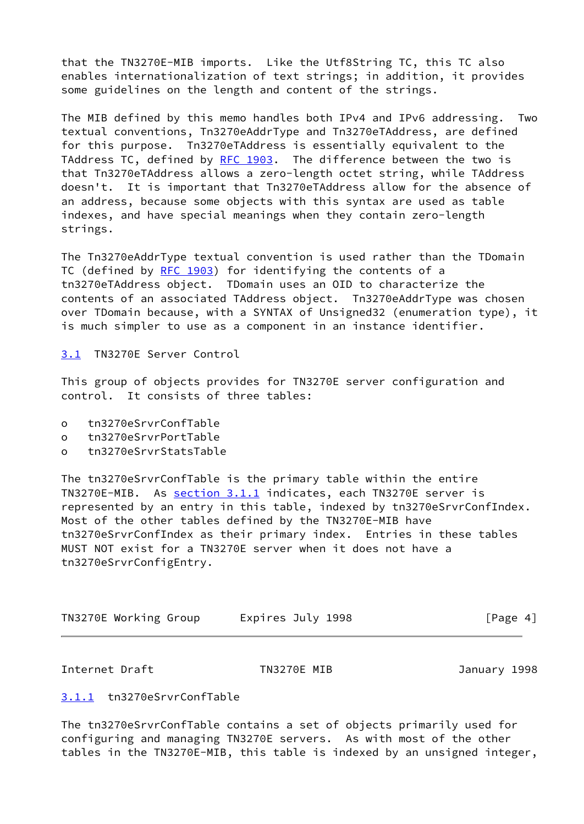that the TN3270E-MIB imports. Like the Utf8String TC, this TC also enables internationalization of text strings; in addition, it provides some guidelines on the length and content of the strings.

The MIB defined by this memo handles both IPv4 and IPv6 addressing. Two textual conventions, Tn3270eAddrType and Tn3270eTAddress, are defined for this purpose. Tn3270eTAddress is essentially equivalent to the TAddress TC, defined by [RFC 1903](https://datatracker.ietf.org/doc/pdf/rfc1903). The difference between the two is that Tn3270eTAddress allows a zero-length octet string, while TAddress doesn't. It is important that Tn3270eTAddress allow for the absence of an address, because some objects with this syntax are used as table indexes, and have special meanings when they contain zero-length strings.

The Tn3270eAddrType textual convention is used rather than the TDomain TC (defined by [RFC 1903\)](https://datatracker.ietf.org/doc/pdf/rfc1903) for identifying the contents of a tn3270eTAddress object. TDomain uses an OID to characterize the contents of an associated TAddress object. Tn3270eAddrType was chosen over TDomain because, with a SYNTAX of Unsigned32 (enumeration type), it is much simpler to use as a component in an instance identifier.

<span id="page-4-0"></span>[3.1](#page-4-0) TN3270E Server Control

This group of objects provides for TN3270E server configuration and control. It consists of three tables:

- o tn3270eSrvrConfTable
- o tn3270eSrvrPortTable
- o tn3270eSrvrStatsTable

The tn3270eSrvrConfTable is the primary table within the entire TN3270E-MIB. As [section 3.1.1](#page-4-1) indicates, each TN3270E server is represented by an entry in this table, indexed by tn3270eSrvrConfIndex. Most of the other tables defined by the TN3270E-MIB have tn3270eSrvrConfIndex as their primary index. Entries in these tables MUST NOT exist for a TN3270E server when it does not have a tn3270eSrvrConfigEntry.

| TN3270E Working Group | Expires July 1998 | [Page 4] |
|-----------------------|-------------------|----------|
|-----------------------|-------------------|----------|

<span id="page-4-2"></span>Internet Draft TN3270E MIB January 1998

## <span id="page-4-1"></span>[3.1.1](#page-4-1) tn3270eSrvrConfTable

The tn3270eSrvrConfTable contains a set of objects primarily used for configuring and managing TN3270E servers. As with most of the other tables in the TN3270E-MIB, this table is indexed by an unsigned integer,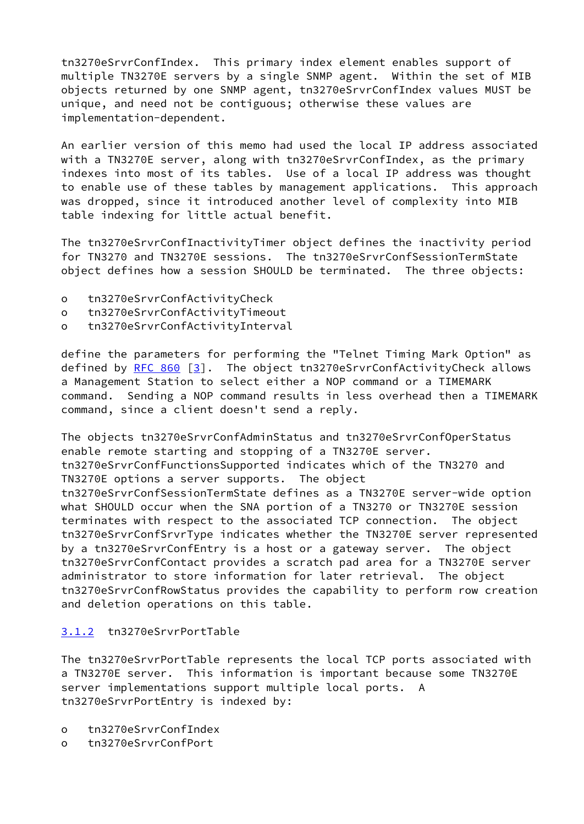tn3270eSrvrConfIndex. This primary index element enables support of multiple TN3270E servers by a single SNMP agent. Within the set of MIB objects returned by one SNMP agent, tn3270eSrvrConfIndex values MUST be unique, and need not be contiguous; otherwise these values are implementation-dependent.

An earlier version of this memo had used the local IP address associated with a TN3270E server, along with tn3270eSrvrConfIndex, as the primary indexes into most of its tables. Use of a local IP address was thought to enable use of these tables by management applications. This approach was dropped, since it introduced another level of complexity into MIB table indexing for little actual benefit.

The tn3270eSrvrConfInactivityTimer object defines the inactivity period for TN3270 and TN3270E sessions. The tn3270eSrvrConfSessionTermState object defines how a session SHOULD be terminated. The three objects:

- o tn3270eSrvrConfActivityCheck
- o tn3270eSrvrConfActivityTimeout
- o tn3270eSrvrConfActivityInterval

define the parameters for performing the "Telnet Timing Mark Option" as defined by [RFC 860](https://datatracker.ietf.org/doc/pdf/rfc860) [\[3](#page-50-2)]. The object tn3270eSrvrConfActivityCheck allows a Management Station to select either a NOP command or a TIMEMARK command. Sending a NOP command results in less overhead then a TIMEMARK command, since a client doesn't send a reply.

The objects tn3270eSrvrConfAdminStatus and tn3270eSrvrConfOperStatus enable remote starting and stopping of a TN3270E server. tn3270eSrvrConfFunctionsSupported indicates which of the TN3270 and TN3270E options a server supports. The object tn3270eSrvrConfSessionTermState defines as a TN3270E server-wide option what SHOULD occur when the SNA portion of a TN3270 or TN3270E session terminates with respect to the associated TCP connection. The object tn3270eSrvrConfSrvrType indicates whether the TN3270E server represented by a tn3270eSrvrConfEntry is a host or a gateway server. The object tn3270eSrvrConfContact provides a scratch pad area for a TN3270E server administrator to store information for later retrieval. The object tn3270eSrvrConfRowStatus provides the capability to perform row creation and deletion operations on this table.

## <span id="page-5-0"></span>[3.1.2](#page-5-0) tn3270eSrvrPortTable

The tn3270eSrvrPortTable represents the local TCP ports associated with a TN3270E server. This information is important because some TN3270E server implementations support multiple local ports. A tn3270eSrvrPortEntry is indexed by:

- o tn3270eSrvrConfIndex
- o tn3270eSrvrConfPort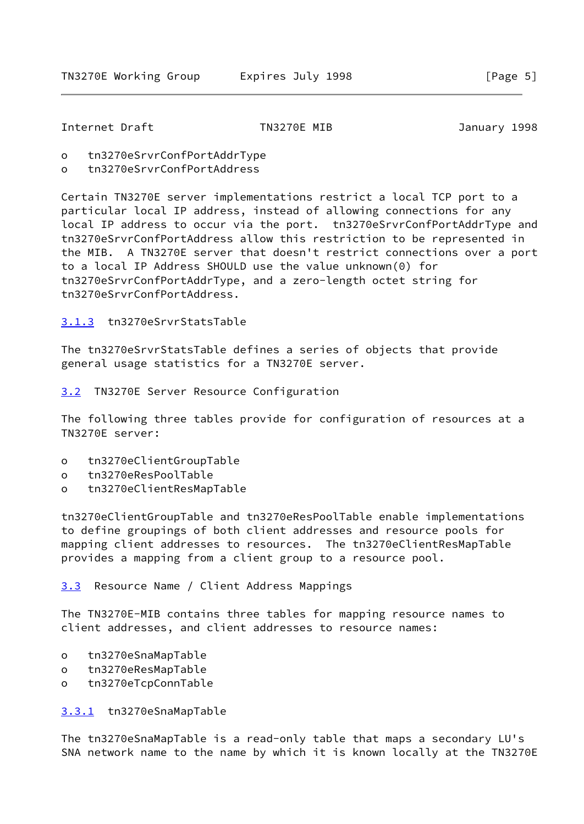<span id="page-6-1"></span>Internet Draft TN3270E MIB January 1998

- o tn3270eSrvrConfPortAddrType
- o tn3270eSrvrConfPortAddress

Certain TN3270E server implementations restrict a local TCP port to a particular local IP address, instead of allowing connections for any local IP address to occur via the port. tn3270eSrvrConfPortAddrType and tn3270eSrvrConfPortAddress allow this restriction to be represented in the MIB. A TN3270E server that doesn't restrict connections over a port to a local IP Address SHOULD use the value unknown(0) for tn3270eSrvrConfPortAddrType, and a zero-length octet string for tn3270eSrvrConfPortAddress.

## <span id="page-6-0"></span>[3.1.3](#page-6-0) tn3270eSrvrStatsTable

The tn3270eSrvrStatsTable defines a series of objects that provide general usage statistics for a TN3270E server.

<span id="page-6-2"></span>[3.2](#page-6-2) TN3270E Server Resource Configuration

The following three tables provide for configuration of resources at a TN3270E server:

- o tn3270eClientGroupTable
- o tn3270eResPoolTable
- o tn3270eClientResMapTable

tn3270eClientGroupTable and tn3270eResPoolTable enable implementations to define groupings of both client addresses and resource pools for mapping client addresses to resources. The tn3270eClientResMapTable provides a mapping from a client group to a resource pool.

<span id="page-6-3"></span>[3.3](#page-6-3) Resource Name / Client Address Mappings

The TN3270E-MIB contains three tables for mapping resource names to client addresses, and client addresses to resource names:

- o tn3270eSnaMapTable
- o tn3270eResMapTable
- o tn3270eTcpConnTable

<span id="page-6-4"></span>[3.3.1](#page-6-4) tn3270eSnaMapTable

The tn3270eSnaMapTable is a read-only table that maps a secondary LU's SNA network name to the name by which it is known locally at the TN3270E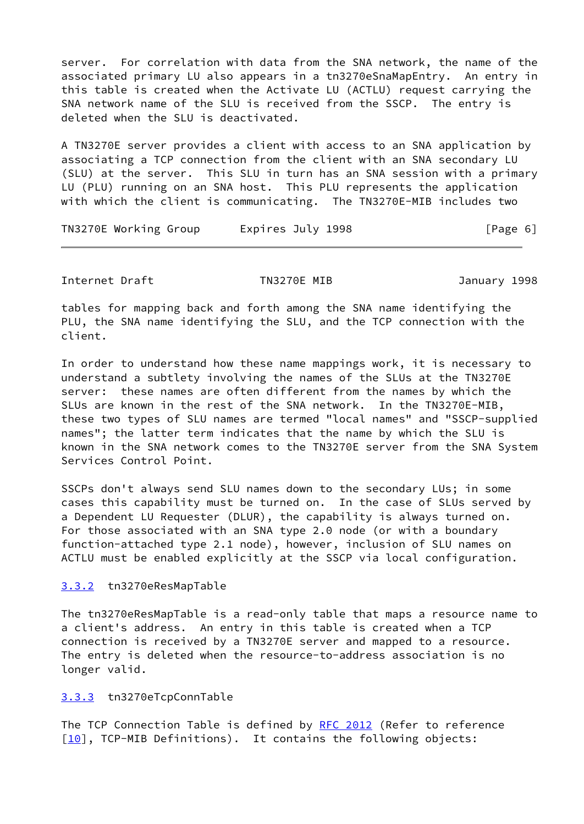server. For correlation with data from the SNA network, the name of the associated primary LU also appears in a tn3270eSnaMapEntry. An entry in this table is created when the Activate LU (ACTLU) request carrying the SNA network name of the SLU is received from the SSCP. The entry is deleted when the SLU is deactivated.

A TN3270E server provides a client with access to an SNA application by associating a TCP connection from the client with an SNA secondary LU (SLU) at the server. This SLU in turn has an SNA session with a primary LU (PLU) running on an SNA host. This PLU represents the application with which the client is communicating. The TN3270E-MIB includes two

TN3270E Working Group Lexpires July 1998 [Page 6]

<span id="page-7-1"></span>Internet Draft TN3270E MIB January 1998

tables for mapping back and forth among the SNA name identifying the PLU, the SNA name identifying the SLU, and the TCP connection with the client.

In order to understand how these name mappings work, it is necessary to understand a subtlety involving the names of the SLUs at the TN3270E server: these names are often different from the names by which the SLUs are known in the rest of the SNA network. In the TN3270E-MIB, these two types of SLU names are termed "local names" and "SSCP-supplied names"; the latter term indicates that the name by which the SLU is known in the SNA network comes to the TN3270E server from the SNA System Services Control Point.

SSCPs don't always send SLU names down to the secondary LUs; in some cases this capability must be turned on. In the case of SLUs served by a Dependent LU Requester (DLUR), the capability is always turned on. For those associated with an SNA type 2.0 node (or with a boundary function-attached type 2.1 node), however, inclusion of SLU names on ACTLU must be enabled explicitly at the SSCP via local configuration.

## <span id="page-7-0"></span>[3.3.2](#page-7-0) tn3270eResMapTable

The tn3270eResMapTable is a read-only table that maps a resource name to a client's address. An entry in this table is created when a TCP connection is received by a TN3270E server and mapped to a resource. The entry is deleted when the resource-to-address association is no longer valid.

## <span id="page-7-2"></span>[3.3.3](#page-7-2) tn3270eTcpConnTable

The TCP Connection Table is defined by [RFC 2012](https://datatracker.ietf.org/doc/pdf/rfc2012) (Refer to reference  $[10]$ , TCP-MIB Definitions). It contains the following objects: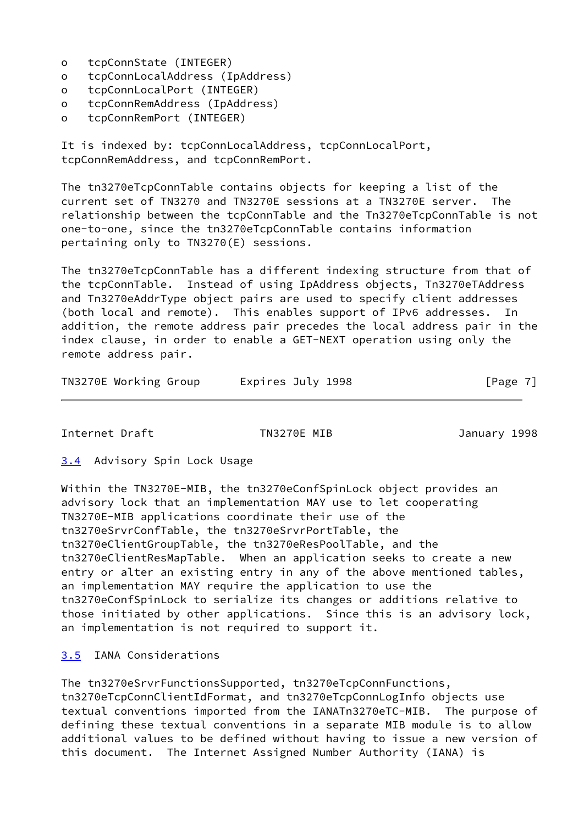- o tcpConnState (INTEGER)
- o tcpConnLocalAddress (IpAddress)
- o tcpConnLocalPort (INTEGER)
- o tcpConnRemAddress (IpAddress)
- o tcpConnRemPort (INTEGER)

It is indexed by: tcpConnLocalAddress, tcpConnLocalPort, tcpConnRemAddress, and tcpConnRemPort.

The tn3270eTcpConnTable contains objects for keeping a list of the current set of TN3270 and TN3270E sessions at a TN3270E server. The relationship between the tcpConnTable and the Tn3270eTcpConnTable is not one-to-one, since the tn3270eTcpConnTable contains information pertaining only to TN3270(E) sessions.

The tn3270eTcpConnTable has a different indexing structure from that of the tcpConnTable. Instead of using IpAddress objects, Tn3270eTAddress and Tn3270eAddrType object pairs are used to specify client addresses (both local and remote). This enables support of IPv6 addresses. In addition, the remote address pair precedes the local address pair in the index clause, in order to enable a GET-NEXT operation using only the remote address pair.

| TN3270E Working Group | Expires July 1998 | [Page 7] |
|-----------------------|-------------------|----------|
|-----------------------|-------------------|----------|

<span id="page-8-1"></span>Internet Draft TN3270E MIB January 1998

<span id="page-8-0"></span>[3.4](#page-8-0) Advisory Spin Lock Usage

Within the TN3270E-MIB, the tn3270eConfSpinLock object provides an advisory lock that an implementation MAY use to let cooperating TN3270E-MIB applications coordinate their use of the tn3270eSrvrConfTable, the tn3270eSrvrPortTable, the tn3270eClientGroupTable, the tn3270eResPoolTable, and the tn3270eClientResMapTable. When an application seeks to create a new entry or alter an existing entry in any of the above mentioned tables, an implementation MAY require the application to use the tn3270eConfSpinLock to serialize its changes or additions relative to those initiated by other applications. Since this is an advisory lock, an implementation is not required to support it.

## <span id="page-8-2"></span>[3.5](#page-8-2) IANA Considerations

The tn3270eSrvrFunctionsSupported, tn3270eTcpConnFunctions, tn3270eTcpConnClientIdFormat, and tn3270eTcpConnLogInfo objects use textual conventions imported from the IANATn3270eTC-MIB. The purpose of defining these textual conventions in a separate MIB module is to allow additional values to be defined without having to issue a new version of this document. The Internet Assigned Number Authority (IANA) is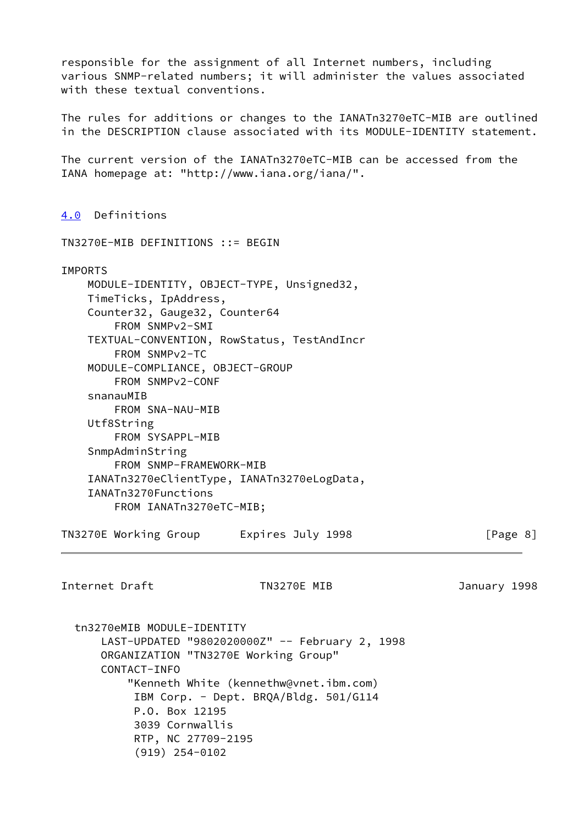responsible for the assignment of all Internet numbers, including various SNMP-related numbers; it will administer the values associated with these textual conventions.

The rules for additions or changes to the IANATn3270eTC-MIB are outlined in the DESCRIPTION clause associated with its MODULE-IDENTITY statement.

The current version of the IANATn3270eTC-MIB can be accessed from the IANA homepage at: "http://www.iana.org/iana/".

<span id="page-9-0"></span>[4.0](#page-9-0) Definitions

TN3270E-MIB DEFINITIONS ::= BEGIN

#### IMPORTS

 MODULE-IDENTITY, OBJECT-TYPE, Unsigned32, TimeTicks, IpAddress, Counter32, Gauge32, Counter64 FROM SNMPv2-SMI TEXTUAL-CONVENTION, RowStatus, TestAndIncr FROM SNMPv2-TC MODULE-COMPLIANCE, OBJECT-GROUP FROM SNMPv2-CONF snanauMIB FROM SNA-NAU-MIB Utf8String FROM SYSAPPL-MIB SnmpAdminString FROM SNMP-FRAMEWORK-MIB IANATn3270eClientType, IANATn3270eLogData, IANATn3270Functions FROM IANATn3270eTC-MIB;

TN3270E Working Group Lexpires July 1998 The Sea Report of Page 8]

Internet Draft TN3270E MIB January 1998

 tn3270eMIB MODULE-IDENTITY LAST-UPDATED "9802020000Z" -- February 2, 1998 ORGANIZATION "TN3270E Working Group" CONTACT-INFO "Kenneth White (kennethw@vnet.ibm.com) IBM Corp. - Dept. BRQA/Bldg. 501/G114 P.O. Box 12195 3039 Cornwallis RTP, NC 27709-2195 (919) 254-0102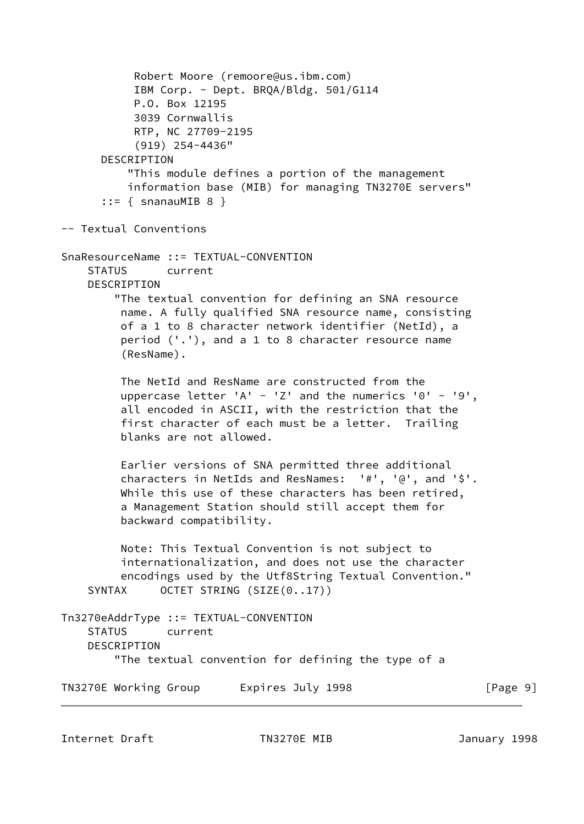```
 Robert Moore (remoore@us.ibm.com)
            IBM Corp. - Dept. BRQA/Bldg. 501/G114
            P.O. Box 12195
            3039 Cornwallis
            RTP, NC 27709-2195
            (919) 254-4436"
       DESCRIPTION
           "This module defines a portion of the management
           information base (MIB) for managing TN3270E servers"
      ::= { snanauMIB 8 }
-- Textual Conventions
SnaResourceName ::= TEXTUAL-CONVENTION
     STATUS current
     DESCRIPTION
         "The textual convention for defining an SNA resource
          name. A fully qualified SNA resource name, consisting
          of a 1 to 8 character network identifier (NetId), a
          period ('.'), and a 1 to 8 character resource name
          (ResName).
          The NetId and ResName are constructed from the
         uppercase letter 'A' - 'Z' and the numerics '0' - '9',
          all encoded in ASCII, with the restriction that the
          first character of each must be a letter. Trailing
          blanks are not allowed.
          Earlier versions of SNA permitted three additional
          characters in NetIds and ResNames: '#', '@', and '$'.
          While this use of these characters has been retired,
          a Management Station should still accept them for
          backward compatibility.
          Note: This Textual Convention is not subject to
          internationalization, and does not use the character
          encodings used by the Utf8String Textual Convention."
    SYNTAX OCTET STRING (SIZE(0..17))
Tn3270eAddrType ::= TEXTUAL-CONVENTION
     STATUS current
     DESCRIPTION
         "The textual convention for defining the type of a
TN3270E Working Group Lexpires July 1998 [Page 9]
```
Internet Draft TN3270E MIB January 1998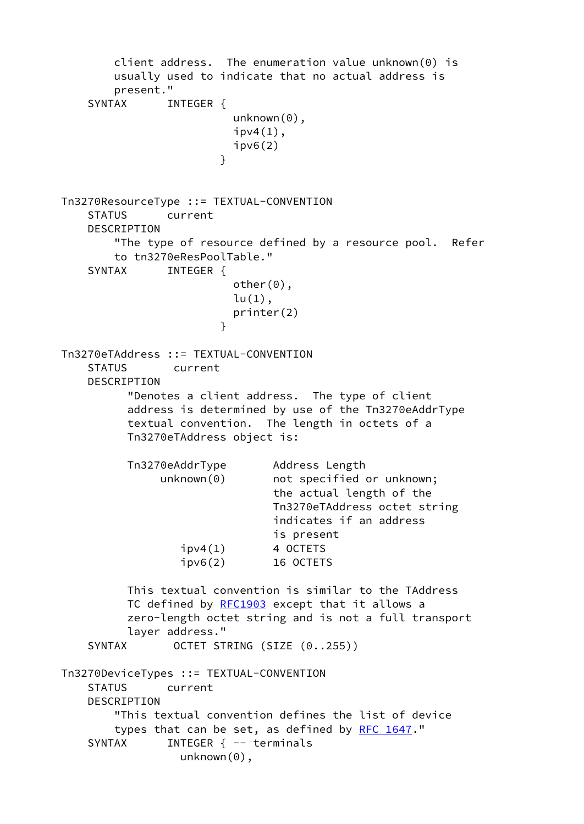client address. The enumeration value unknown(0) is usually used to indicate that no actual address is present." SYNTAX INTEGER { unknown(0),  $ipv4(1)$ ,  $inv6(2)$  } Tn3270ResourceType ::= TEXTUAL-CONVENTION STATUS current DESCRIPTION "The type of resource defined by a resource pool. Refer to tn3270eResPoolTable." SYNTAX INTEGER { other(0),  $lu(1)$ , printer(2) } Tn3270eTAddress ::= TEXTUAL-CONVENTION STATUS current DESCRIPTION "Denotes a client address. The type of client address is determined by use of the Tn3270eAddrType textual convention. The length in octets of a Tn3270eTAddress object is: Tn3270eAddrType Address Length unknown(0) mot specified or unknown; the actual length of the Tn3270eTAddress octet string indicates if an address is present  $ipv4(1)$  4 OCTETS ipv6(2) 16 OCTETS This textual convention is similar to the TAddress TC defined by [RFC1903](https://datatracker.ietf.org/doc/pdf/rfc1903) except that it allows a zero-length octet string and is not a full transport layer address." SYNTAX OCTET STRING (SIZE (0..255)) Tn3270DeviceTypes ::= TEXTUAL-CONVENTION STATUS current DESCRIPTION "This textual convention defines the list of device types that can be set, as defined by [RFC 1647](https://datatracker.ietf.org/doc/pdf/rfc1647)." SYNTAX INTEGER { -- terminals unknown(0),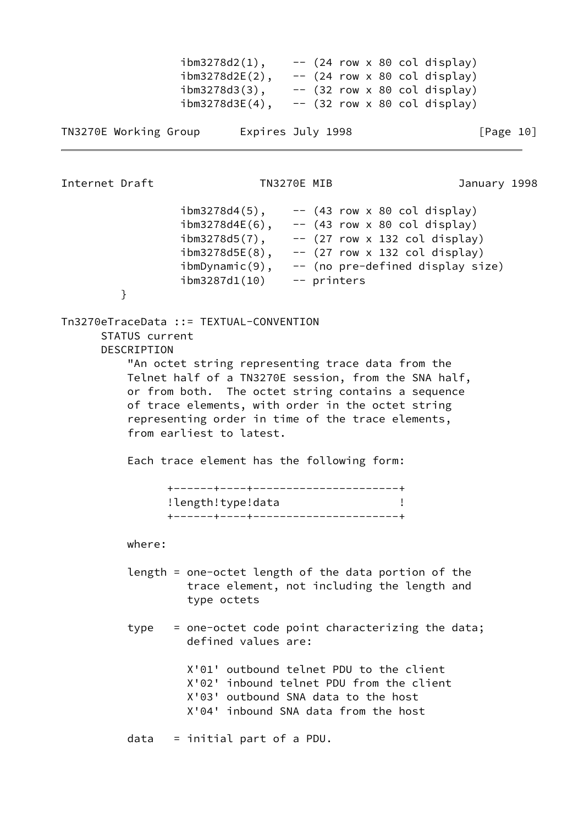| $ibm3278d2(1)$ ,  | $--$ (24 row x 80 col display) |
|-------------------|--------------------------------|
| $ibm3278d2E(2)$ , | $--$ (24 row x 80 col display) |
| $ibm3278d3(3)$ ,  | $--$ (32 row x 80 col display) |
| $ibm3278d3E(4)$ , | $--$ (32 row x 80 col display) |
|                   |                                |

```
TN3270E Working Group Latinus Expires July 1998 The State of Page 10]
```
Internet Draft TN3270E MIB January 1998

 $ibm3278d4(5)$ , --  $(43 row \times 80 col display)$  $ibm3278d4E(6)$ , -- (43 row x 80 col display)  $i_{\text{bm3278d5(7)}$ , -- (27 row x 132 col display)  $ibm3278d5E(8)$ , -- (27 row x 132 col display) ibmDynamic(9), -- (no pre-defined display size) ibm3287d1(10) -- printers

```
 }
```
Tn3270eTraceData ::= TEXTUAL-CONVENTION STATUS current DESCRIPTION

 "An octet string representing trace data from the Telnet half of a TN3270E session, from the SNA half, or from both. The octet string contains a sequence of trace elements, with order in the octet string representing order in time of the trace elements, from earliest to latest.

Each trace element has the following form:

| ------+----+------------------------ |  |
|--------------------------------------|--|
| !length!type!data                    |  |
|                                      |  |

where:

- length = one-octet length of the data portion of the trace element, not including the length and type octets
- type = one-octet code point characterizing the data; defined values are:

 X'01' outbound telnet PDU to the client X'02' inbound telnet PDU from the client X'03' outbound SNA data to the host X'04' inbound SNA data from the host

data = initial part of a PDU.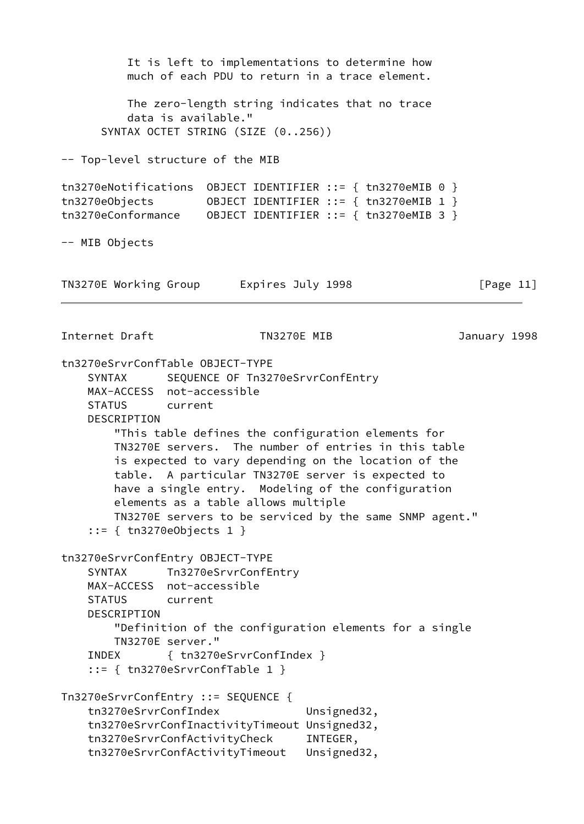It is left to implementations to determine how much of each PDU to return in a trace element. The zero-length string indicates that no trace data is available." SYNTAX OCTET STRING (SIZE (0..256)) -- Top-level structure of the MIB tn3270eNotifications OBJECT IDENTIFIER ::= { tn3270eMIB 0 } tn3270eObjects OBJECT IDENTIFIER ::= { tn3270eMIB 1 } tn3270eConformance OBJECT IDENTIFIER ::= { tn3270eMIB 3 } -- MIB Objects TN3270E Working Group Lexpires July 1998 [Page 11] Internet Draft TN3270E MIB January 1998 tn3270eSrvrConfTable OBJECT-TYPE SYNTAX SEQUENCE OF Tn3270eSrvrConfEntry MAX-ACCESS not-accessible STATUS current DESCRIPTION "This table defines the configuration elements for TN3270E servers. The number of entries in this table is expected to vary depending on the location of the table. A particular TN3270E server is expected to have a single entry. Modeling of the configuration elements as a table allows multiple TN3270E servers to be serviced by the same SNMP agent." ::= { tn3270eObjects 1 } tn3270eSrvrConfEntry OBJECT-TYPE SYNTAX Tn3270eSrvrConfEntry MAX-ACCESS not-accessible STATUS current DESCRIPTION "Definition of the configuration elements for a single TN3270E server." INDEX { tn3270eSrvrConfIndex } ::= { tn3270eSrvrConfTable 1 } Tn3270eSrvrConfEntry ::= SEQUENCE { tn3270eSrvrConfIndex Unsigned32, tn3270eSrvrConfInactivityTimeout Unsigned32, tn3270eSrvrConfActivityCheck INTEGER, tn3270eSrvrConfActivityTimeout Unsigned32,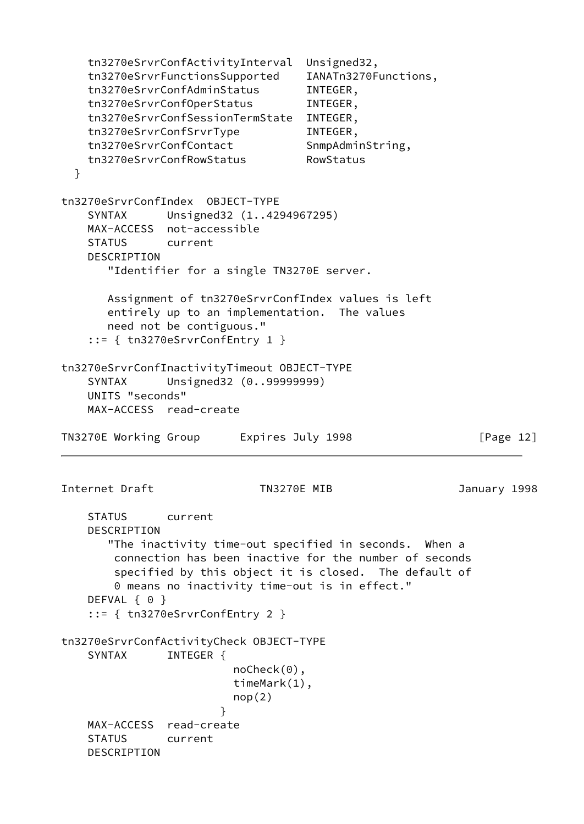```
 tn3270eSrvrConfActivityInterval Unsigned32,
    tn3270eSrvrFunctionsSupported IANATn3270Functions,
    tn3270eSrvrConfAdminStatus INTEGER,
    tn3270eSrvrConfOperStatus INTEGER,
    tn3270eSrvrConfSessionTermState INTEGER,
    tn3270eSrvrConfSrvrType INTEGER,
    tn3270eSrvrConfContact SnmpAdminString,
    tn3270eSrvrConfRowStatus RowStatus
  }
tn3270eSrvrConfIndex OBJECT-TYPE
    SYNTAX Unsigned32 (1..4294967295)
    MAX-ACCESS not-accessible
    STATUS current
    DESCRIPTION
       "Identifier for a single TN3270E server.
       Assignment of tn3270eSrvrConfIndex values is left
       entirely up to an implementation. The values
       need not be contiguous."
    ::= { tn3270eSrvrConfEntry 1 }
tn3270eSrvrConfInactivityTimeout OBJECT-TYPE
    SYNTAX Unsigned32 (0..99999999)
    UNITS "seconds"
    MAX-ACCESS read-create
TN3270E Working Group Lexpires July 1998 [Page 12]
Internet Draft TN3270E MIB January 1998
    STATUS current
    DESCRIPTION
       "The inactivity time-out specified in seconds. When a
        connection has been inactive for the number of seconds
        specified by this object it is closed. The default of
        0 means no inactivity time-out is in effect."
   DEFVAL { 0 }
    ::= { tn3270eSrvrConfEntry 2 }
tn3270eSrvrConfActivityCheck OBJECT-TYPE
   SYNTAX INTEGER {
                         noCheck(0),
                         timeMark(1),
                        nop(2) }
    MAX-ACCESS read-create
    STATUS current
    DESCRIPTION
```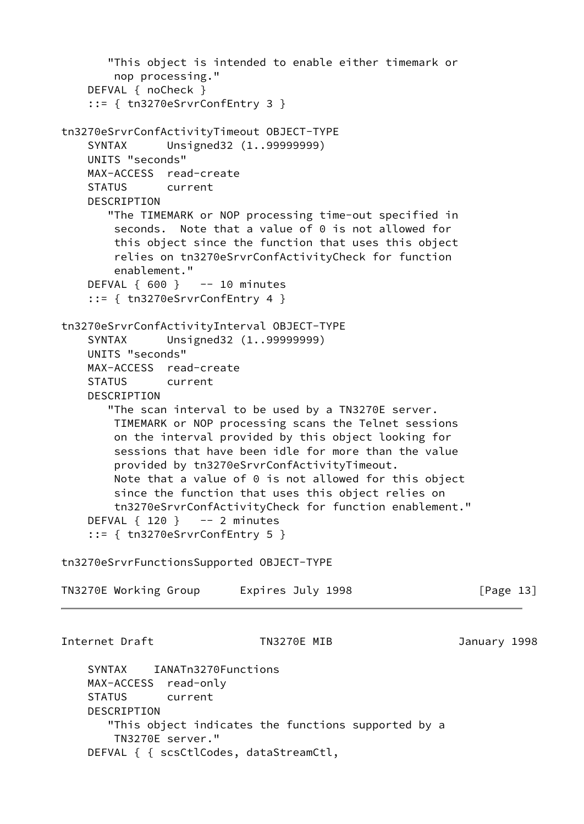```
 "This object is intended to enable either timemark or
        nop processing."
     DEFVAL { noCheck }
     ::= { tn3270eSrvrConfEntry 3 }
tn3270eSrvrConfActivityTimeout OBJECT-TYPE
     SYNTAX Unsigned32 (1..99999999)
    UNITS "seconds"
    MAX-ACCESS read-create
    STATUS current
     DESCRIPTION
       "The TIMEMARK or NOP processing time-out specified in
       seconds. Note that a value of 0 is not allowed for
        this object since the function that uses this object
        relies on tn3270eSrvrConfActivityCheck for function
        enablement."
    DEFVAL \{600\} -- 10 minutes
     ::= { tn3270eSrvrConfEntry 4 }
tn3270eSrvrConfActivityInterval OBJECT-TYPE
     SYNTAX Unsigned32 (1..99999999)
    UNITS "seconds"
    MAX-ACCESS read-create
    STATUS current
     DESCRIPTION
       "The scan interval to be used by a TN3270E server.
        TIMEMARK or NOP processing scans the Telnet sessions
        on the interval provided by this object looking for
        sessions that have been idle for more than the value
        provided by tn3270eSrvrConfActivityTimeout.
        Note that a value of 0 is not allowed for this object
        since the function that uses this object relies on
        tn3270eSrvrConfActivityCheck for function enablement."
    DEFVAL \{ 120 \} -- 2 minutes
     ::= { tn3270eSrvrConfEntry 5 }
tn3270eSrvrFunctionsSupported OBJECT-TYPE
TN3270E Working Group Lexpires July 1998 [Page 13]
Internet Draft TN3270E MIB January 1998
    SYNTAX IANATn3270Functions
    MAX-ACCESS read-only
    STATUS current
    DESCRIPTION
       "This object indicates the functions supported by a
        TN3270E server."
     DEFVAL { { scsCtlCodes, dataStreamCtl,
```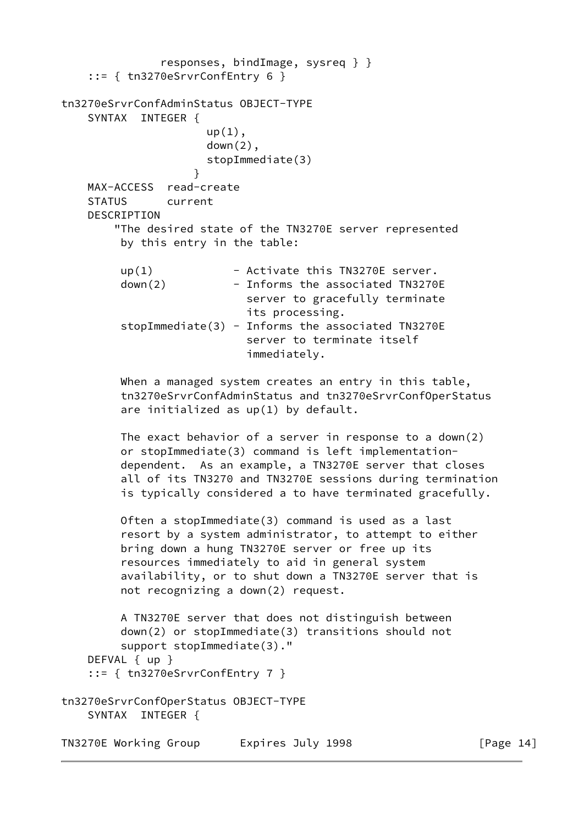```
 responses, bindImage, sysreq } }
    ::= { tn3270eSrvrConfEntry 6 }
tn3270eSrvrConfAdminStatus OBJECT-TYPE
    SYNTAX INTEGER {
                     up(1),
                      down(2),
                      stopImmediate(3)
 }
    MAX-ACCESS read-create
     STATUS current
     DESCRIPTION
         "The desired state of the TN3270E server represented
         by this entry in the table:
        up(1) - Activate this TN3270E server.
        down(2) - Informs the associated TN3270E
                            server to gracefully terminate
                            its processing.
         stopImage(3) - Informs the associated TN3270E
                            server to terminate itself
                            immediately.
        When a managed system creates an entry in this table,
          tn3270eSrvrConfAdminStatus and tn3270eSrvrConfOperStatus
          are initialized as up(1) by default.
         The exact behavior of a server in response to a down(2)
         or stopImmediate(3) command is left implementation-
         dependent. As an example, a TN3270E server that closes
          all of its TN3270 and TN3270E sessions during termination
          is typically considered a to have terminated gracefully.
         Often a stopImmediate(3) command is used as a last
          resort by a system administrator, to attempt to either
          bring down a hung TN3270E server or free up its
          resources immediately to aid in general system
          availability, or to shut down a TN3270E server that is
          not recognizing a down(2) request.
         A TN3270E server that does not distinguish between
          down(2) or stopImmediate(3) transitions should not
          support stopImmediate(3)."
    DEFVAL { up }
     ::= { tn3270eSrvrConfEntry 7 }
tn3270eSrvrConfOperStatus OBJECT-TYPE
    SYNTAX INTEGER {
TN3270E Working Group Lexpires July 1998 [Page 14]
```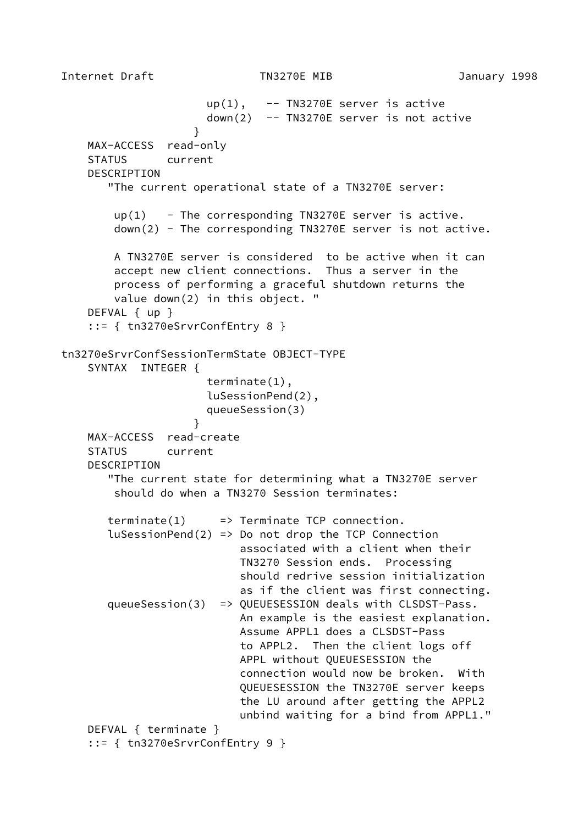$up(1)$ , -- TN3270E server is active down(2) -- TN3270E server is not active } MAX-ACCESS read-only STATUS current DESCRIPTION "The current operational state of a TN3270E server:  $up(1)$  - The corresponding TN3270E server is active. down(2) - The corresponding TN3270E server is not active. A TN3270E server is considered to be active when it can accept new client connections. Thus a server in the process of performing a graceful shutdown returns the value down(2) in this object. " DEFVAL { up } ::= { tn3270eSrvrConfEntry 8 } tn3270eSrvrConfSessionTermState OBJECT-TYPE SYNTAX INTEGER { terminate(1), luSessionPend(2), queueSession(3) } MAX-ACCESS read-create STATUS current DESCRIPTION "The current state for determining what a TN3270E server should do when a TN3270 Session terminates:  $\text{terminate}(1) \implies \text{Terminate TCP connection.}$  $l$ uSessionPend(2) => Do not drop the TCP Connection associated with a client when their TN3270 Session ends. Processing should redrive session initialization as if the client was first connecting. queueSession(3) => QUEUESESSION deals with CLSDST-Pass. An example is the easiest explanation. Assume APPL1 does a CLSDST-Pass to APPL2. Then the client logs off APPL without QUEUESESSION the connection would now be broken. With QUEUESESSION the TN3270E server keeps the LU around after getting the APPL2 unbind waiting for a bind from APPL1." DEFVAL { terminate } ::= { tn3270eSrvrConfEntry 9 }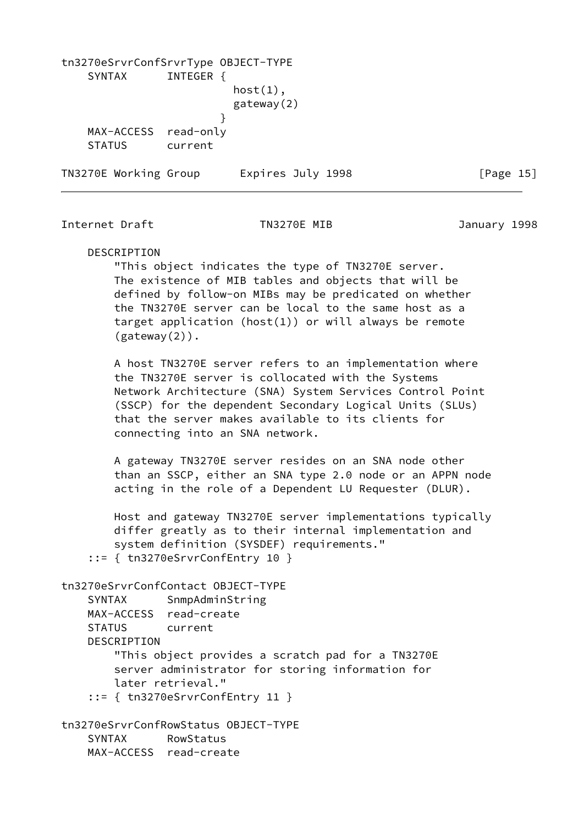| tn3270eSrvrConfSrvrType OBJECT-TYPE |           |                   |           |
|-------------------------------------|-----------|-------------------|-----------|
| SYNTAX                              | INTEGER   |                   |           |
|                                     |           | $host(1)$ ,       |           |
|                                     |           | gateway(2)        |           |
|                                     |           |                   |           |
| MAX-ACCESS                          | read-only |                   |           |
| <b>STATUS</b>                       | current   |                   |           |
| TN3270E Working Group               |           | Expires July 1998 | [Page 15] |

Internet Draft TN3270E MIB January 1998

#### DESCRIPTION

 "This object indicates the type of TN3270E server. The existence of MIB tables and objects that will be defined by follow-on MIBs may be predicated on whether the TN3270E server can be local to the same host as a target application (host(1)) or will always be remote  $(gateway(2))$ .

 A host TN3270E server refers to an implementation where the TN3270E server is collocated with the Systems Network Architecture (SNA) System Services Control Point (SSCP) for the dependent Secondary Logical Units (SLUs) that the server makes available to its clients for connecting into an SNA network.

 A gateway TN3270E server resides on an SNA node other than an SSCP, either an SNA type 2.0 node or an APPN node acting in the role of a Dependent LU Requester (DLUR).

 Host and gateway TN3270E server implementations typically differ greatly as to their internal implementation and system definition (SYSDEF) requirements." ::= { tn3270eSrvrConfEntry 10 }

```
tn3270eSrvrConfContact OBJECT-TYPE
    SYNTAX SnmpAdminString
    MAX-ACCESS read-create
    STATUS current
    DESCRIPTION
        "This object provides a scratch pad for a TN3270E
        server administrator for storing information for
        later retrieval."
     ::= { tn3270eSrvrConfEntry 11 }
tn3270eSrvrConfRowStatus OBJECT-TYPE
    SYNTAX RowStatus
    MAX-ACCESS read-create
```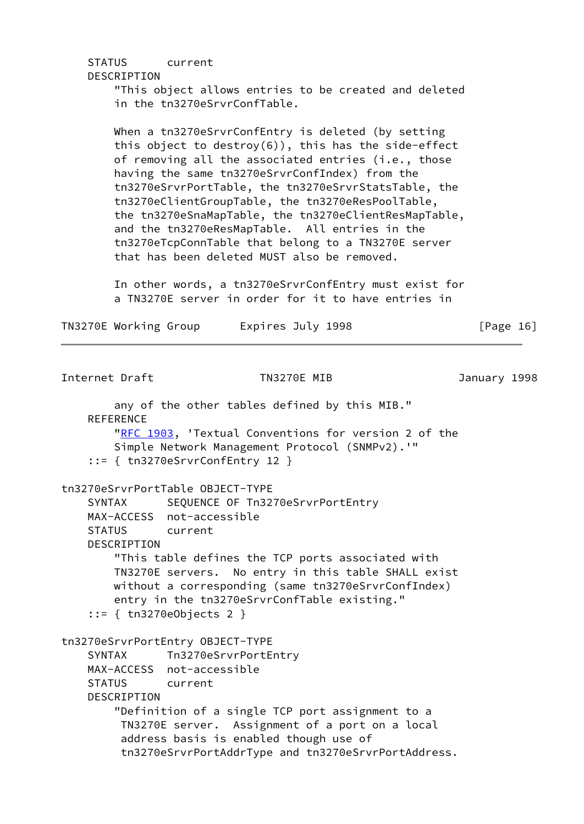## STATUS current

## DESCRIPTION

 "This object allows entries to be created and deleted in the tn3270eSrvrConfTable.

 When a tn3270eSrvrConfEntry is deleted (by setting this object to destroy(6)), this has the side-effect of removing all the associated entries (i.e., those having the same tn3270eSrvrConfIndex) from the tn3270eSrvrPortTable, the tn3270eSrvrStatsTable, the tn3270eClientGroupTable, the tn3270eResPoolTable, the tn3270eSnaMapTable, the tn3270eClientResMapTable, and the tn3270eResMapTable. All entries in the tn3270eTcpConnTable that belong to a TN3270E server that has been deleted MUST also be removed.

 In other words, a tn3270eSrvrConfEntry must exist for a TN3270E server in order for it to have entries in

| TN3270E Working Group | Expires July 1998 | [Page 16] |  |
|-----------------------|-------------------|-----------|--|
|-----------------------|-------------------|-----------|--|

```
Internet Draft TN3270E MIB January 1998
        any of the other tables defined by this MIB."
     REFERENCE
        "RFC 1903, 'Textual Conventions for version 2 of the
        Simple Network Management Protocol (SNMPv2).'"
     ::= { tn3270eSrvrConfEntry 12 }
tn3270eSrvrPortTable OBJECT-TYPE
    SYNTAX SEQUENCE OF Tn3270eSrvrPortEntry
    MAX-ACCESS not-accessible
     STATUS current
     DESCRIPTION
        "This table defines the TCP ports associated with
        TN3270E servers. No entry in this table SHALL exist
        without a corresponding (same tn3270eSrvrConfIndex)
        entry in the tn3270eSrvrConfTable existing."
     ::= { tn3270eObjects 2 }
tn3270eSrvrPortEntry OBJECT-TYPE
     SYNTAX Tn3270eSrvrPortEntry
    MAX-ACCESS not-accessible
    STATUS current
     DESCRIPTION
         "Definition of a single TCP port assignment to a
         TN3270E server. Assignment of a port on a local
         address basis is enabled though use of
         tn3270eSrvrPortAddrType and tn3270eSrvrPortAddress.
```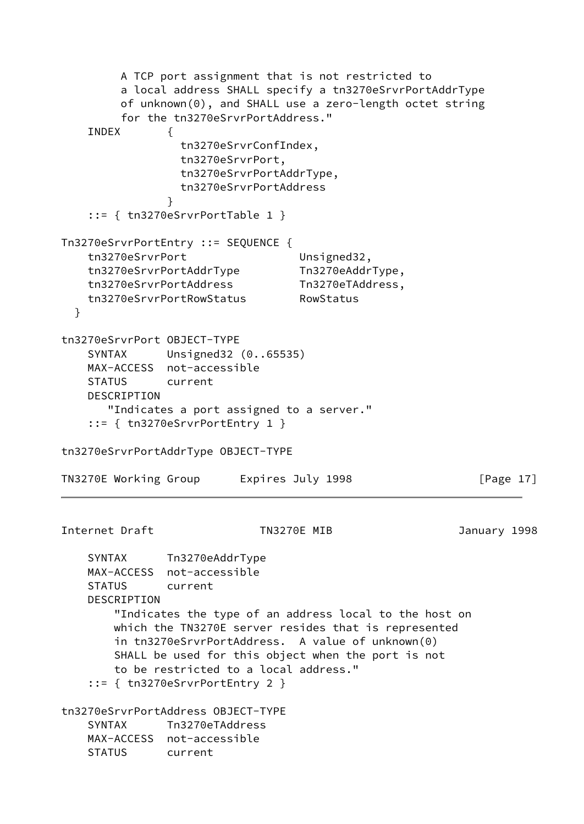```
 A TCP port assignment that is not restricted to
         a local address SHALL specify a tn3270eSrvrPortAddrType
         of unknown(0), and SHALL use a zero-length octet string
         for the tn3270eSrvrPortAddress."
    INDEX {
                 tn3270eSrvrConfIndex,
                 tn3270eSrvrPort,
                 tn3270eSrvrPortAddrType,
                 tn3270eSrvrPortAddress
 }
    ::= { tn3270eSrvrPortTable 1 }
Tn3270eSrvrPortEntry ::= SEQUENCE {
   tn3270eSrvrPort Unsigned32,
    tn3270eSrvrPortAddrType Tn3270eAddrType,
    tn3270eSrvrPortAddress Tn3270eTAddress,
    tn3270eSrvrPortRowStatus RowStatus
  }
tn3270eSrvrPort OBJECT-TYPE
    SYNTAX Unsigned32 (0..65535)
    MAX-ACCESS not-accessible
    STATUS current
    DESCRIPTION
       "Indicates a port assigned to a server."
    ::= { tn3270eSrvrPortEntry 1 }
tn3270eSrvrPortAddrType OBJECT-TYPE
TN3270E Working Group Lexpires July 1998 [Page 17]
Internet Draft TN3270E MIB January 1998
    SYNTAX Tn3270eAddrType
    MAX-ACCESS not-accessible
    STATUS current
    DESCRIPTION
        "Indicates the type of an address local to the host on
        which the TN3270E server resides that is represented
        in tn3270eSrvrPortAddress. A value of unknown(0)
        SHALL be used for this object when the port is not
        to be restricted to a local address."
    ::= { tn3270eSrvrPortEntry 2 }
tn3270eSrvrPortAddress OBJECT-TYPE
    SYNTAX Tn3270eTAddress
    MAX-ACCESS not-accessible
    STATUS current
```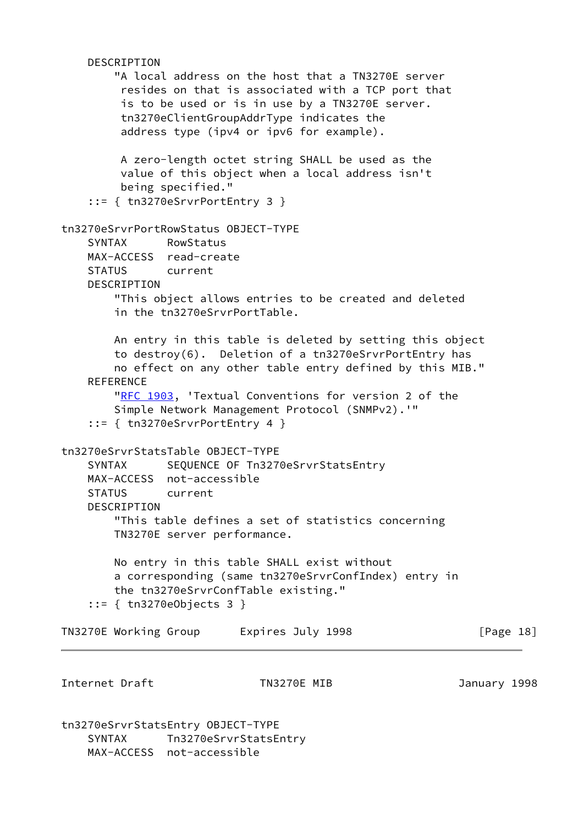```
 DESCRIPTION
         "A local address on the host that a TN3270E server
          resides on that is associated with a TCP port that
          is to be used or is in use by a TN3270E server.
          tn3270eClientGroupAddrType indicates the
          address type (ipv4 or ipv6 for example).
         A zero-length octet string SHALL be used as the
         value of this object when a local address isn't
         being specified."
     ::= { tn3270eSrvrPortEntry 3 }
tn3270eSrvrPortRowStatus OBJECT-TYPE
     SYNTAX RowStatus
    MAX-ACCESS read-create
    STATUS current
    DESCRIPTION
         "This object allows entries to be created and deleted
         in the tn3270eSrvrPortTable.
        An entry in this table is deleted by setting this object
        to destroy(6). Deletion of a tn3270eSrvrPortEntry has
        no effect on any other table entry defined by this MIB."
    REFERENCE
        "RFC 1903, 'Textual Conventions for version 2 of the
         Simple Network Management Protocol (SNMPv2).'"
     ::= { tn3270eSrvrPortEntry 4 }
tn3270eSrvrStatsTable OBJECT-TYPE
    SYNTAX SEQUENCE OF Tn3270eSrvrStatsEntry
    MAX-ACCESS not-accessible
    STATUS current
     DESCRIPTION
         "This table defines a set of statistics concerning
        TN3270E server performance.
        No entry in this table SHALL exist without
        a corresponding (same tn3270eSrvrConfIndex) entry in
        the tn3270eSrvrConfTable existing."
     ::= { tn3270eObjects 3 }
TN3270E Working Group Latering Expires July 1998 The Teage 18]
Internet Draft TN3270E MIB January 1998
tn3270eSrvrStatsEntry OBJECT-TYPE
```
 SYNTAX Tn3270eSrvrStatsEntry MAX-ACCESS not-accessible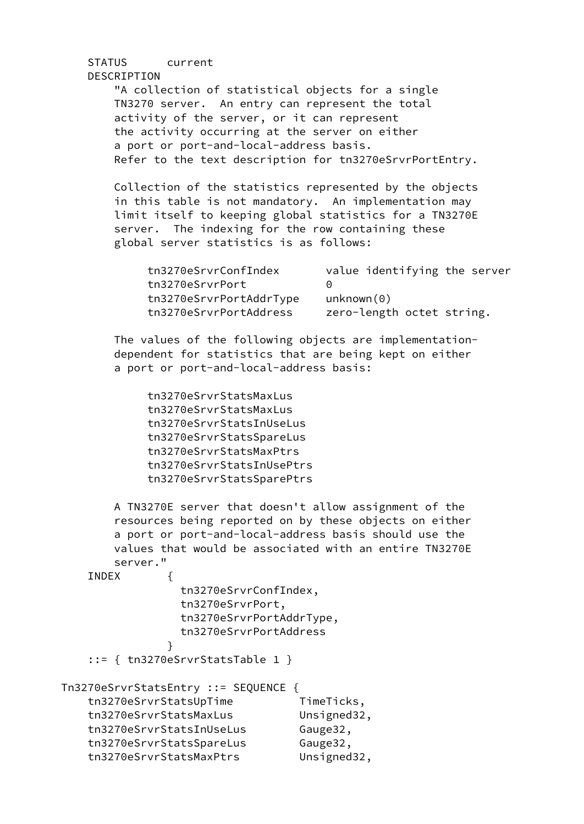# STATUS current DESCRIPTION "A collection of statistical objects for a single TN3270 server. An entry can represent the total activity of the server, or it can represent the activity occurring at the server on either a port or port-and-local-address basis. Refer to the text description for tn3270eSrvrPortEntry. Collection of the statistics represented by the objects in this table is not mandatory. An implementation may limit itself to keeping global statistics for a TN3270E server. The indexing for the row containing these global server statistics is as follows: tn3270eSrvrConfIndex value identifying the server tn3270eSrvrPort 0 tn3270eSrvrPortAddrType unknown(0) tn3270eSrvrPortAddress zero-length octet string. The values of the following objects are implementation dependent for statistics that are being kept on either a port or port-and-local-address basis: tn3270eSrvrStatsMaxLus tn3270eSrvrStatsMaxLus tn3270eSrvrStatsInUseLus tn3270eSrvrStatsSpareLus tn3270eSrvrStatsMaxPtrs tn3270eSrvrStatsInUsePtrs tn3270eSrvrStatsSparePtrs A TN3270E server that doesn't allow assignment of the resources being reported on by these objects on either a port or port-and-local-address basis should use the values that would be associated with an entire TN3270E server." INDEX { tn3270eSrvrConfIndex, tn3270eSrvrPort, tn3270eSrvrPortAddrType, tn3270eSrvrPortAddress }

```
 ::= { tn3270eSrvrStatsTable 1 }
```

| Tn3270eSrvrStatsEntry ::= SEQUENCE { |             |
|--------------------------------------|-------------|
| tn3270eSrvrStatsUpTime               | TimeTicks,  |
| tn3270eSrvrStatsMaxLus               | Unsigned32, |
| tn3270eSrvrStatsInUseLus             | Gauge32,    |

tn3270eSrvrStatsSpareLus Gauge32, tn3270eSrvrStatsMaxPtrs Unsigned32,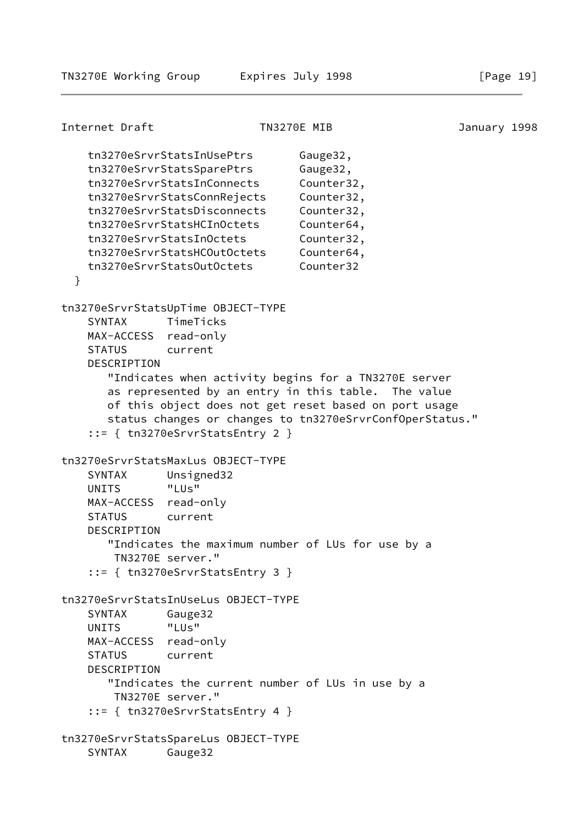Internet Draft TN3270E MIB January 1998 tn3270eSrvrStatsInUsePtrs Gauge32, tn3270eSrvrStatsSparePtrs Gauge32, tn3270eSrvrStatsInConnects Counter32, tn3270eSrvrStatsConnRejects Counter32, tn3270eSrvrStatsDisconnects Counter32, tn3270eSrvrStatsHCInOctets Counter64, tn3270eSrvrStatsInOctets Counter32, tn3270eSrvrStatsHCOutOctets Counter64, tn3270eSrvrStatsOutOctets Counter32 } tn3270eSrvrStatsUpTime OBJECT-TYPE SYNTAX TimeTicks MAX-ACCESS read-only STATUS current DESCRIPTION "Indicates when activity begins for a TN3270E server as represented by an entry in this table. The value of this object does not get reset based on port usage status changes or changes to tn3270eSrvrConfOperStatus." ::= { tn3270eSrvrStatsEntry 2 } tn3270eSrvrStatsMaxLus OBJECT-TYPE SYNTAX Unsigned32 UNITS "LUs" MAX-ACCESS read-only STATUS current DESCRIPTION "Indicates the maximum number of LUs for use by a TN3270E server." ::= { tn3270eSrvrStatsEntry 3 } tn3270eSrvrStatsInUseLus OBJECT-TYPE SYNTAX Gauge32 UNITS "LUs" MAX-ACCESS read-only STATUS current DESCRIPTION "Indicates the current number of LUs in use by a TN3270E server." ::= { tn3270eSrvrStatsEntry 4 } tn3270eSrvrStatsSpareLus OBJECT-TYPE SYNTAX Gauge32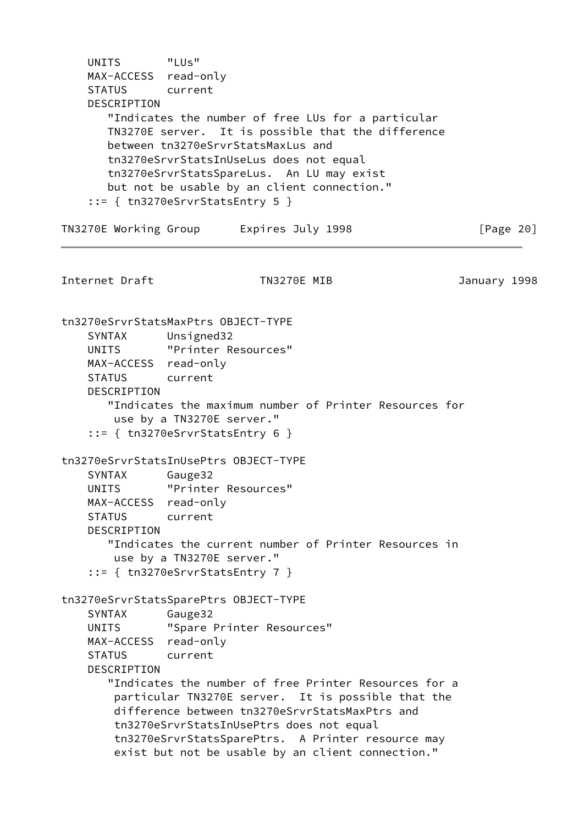UNITS "LUs" MAX-ACCESS read-only STATUS current DESCRIPTION "Indicates the number of free LUs for a particular TN3270E server. It is possible that the difference between tn3270eSrvrStatsMaxLus and tn3270eSrvrStatsInUseLus does not equal tn3270eSrvrStatsSpareLus. An LU may exist but not be usable by an client connection." ::= { tn3270eSrvrStatsEntry 5 } TN3270E Working Group Lexpires July 1998 [Page 20] Internet Draft TN3270E MIB January 1998 tn3270eSrvrStatsMaxPtrs OBJECT-TYPE SYNTAX Unsigned32 UNITS "Printer Resources" MAX-ACCESS read-only STATUS current DESCRIPTION "Indicates the maximum number of Printer Resources for use by a TN3270E server." ::= { tn3270eSrvrStatsEntry 6 } tn3270eSrvrStatsInUsePtrs OBJECT-TYPE SYNTAX Gauge32 UNITS "Printer Resources" MAX-ACCESS read-only STATUS current DESCRIPTION "Indicates the current number of Printer Resources in use by a TN3270E server." ::= { tn3270eSrvrStatsEntry 7 } tn3270eSrvrStatsSparePtrs OBJECT-TYPE SYNTAX Gauge32 UNITS "Spare Printer Resources" MAX-ACCESS read-only STATUS current DESCRIPTION "Indicates the number of free Printer Resources for a particular TN3270E server. It is possible that the difference between tn3270eSrvrStatsMaxPtrs and tn3270eSrvrStatsInUsePtrs does not equal tn3270eSrvrStatsSparePtrs. A Printer resource may exist but not be usable by an client connection."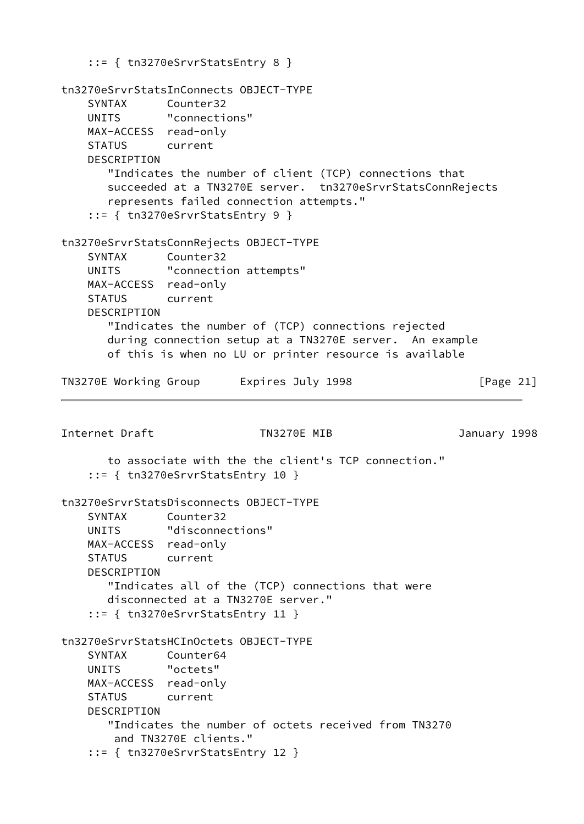```
 ::= { tn3270eSrvrStatsEntry 8 }
tn3270eSrvrStatsInConnects OBJECT-TYPE
    SYNTAX Counter32
    UNITS "connections"
    MAX-ACCESS read-only
    STATUS current
    DESCRIPTION
       "Indicates the number of client (TCP) connections that
       succeeded at a TN3270E server. tn3270eSrvrStatsConnRejects
       represents failed connection attempts."
     ::= { tn3270eSrvrStatsEntry 9 }
tn3270eSrvrStatsConnRejects OBJECT-TYPE
    SYNTAX Counter32
   UNITS "connection attempts"
    MAX-ACCESS read-only
    STATUS current
    DESCRIPTION
       "Indicates the number of (TCP) connections rejected
       during connection setup at a TN3270E server. An example
       of this is when no LU or printer resource is available
TN3270E Working Group Lexpires July 1998 [Page 21]
Internet Draft TN3270E MIB January 1998
       to associate with the the client's TCP connection."
     ::= { tn3270eSrvrStatsEntry 10 }
tn3270eSrvrStatsDisconnects OBJECT-TYPE
    SYNTAX Counter32
    UNITS "disconnections"
    MAX-ACCESS read-only
    STATUS current
    DESCRIPTION
       "Indicates all of the (TCP) connections that were
       disconnected at a TN3270E server."
    ::= { tn3270eSrvrStatsEntry 11 }
tn3270eSrvrStatsHCInOctets OBJECT-TYPE
    SYNTAX Counter64
    UNITS "octets"
    MAX-ACCESS read-only
    STATUS current
    DESCRIPTION
       "Indicates the number of octets received from TN3270
        and TN3270E clients."
    ::= { tn3270eSrvrStatsEntry 12 }
```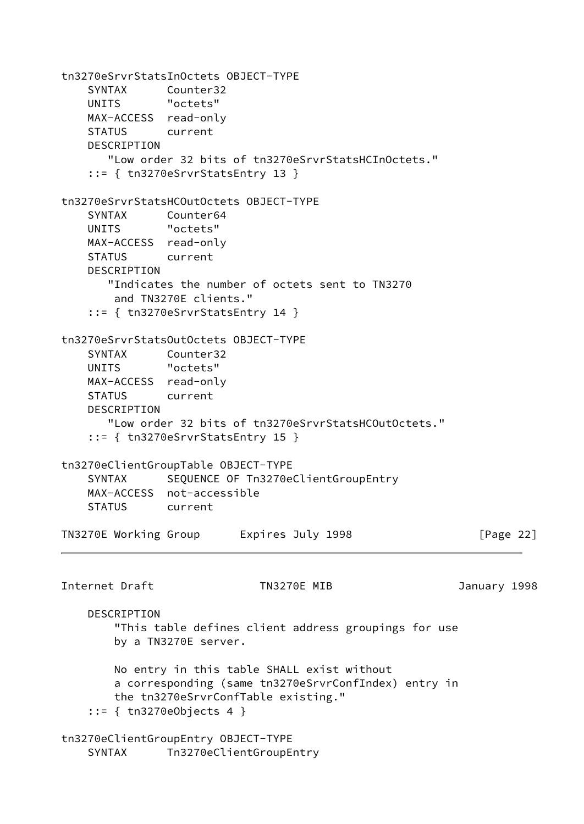tn3270eSrvrStatsInOctets OBJECT-TYPE SYNTAX Counter32 UNITS "octets" MAX-ACCESS read-only STATUS current DESCRIPTION "Low order 32 bits of tn3270eSrvrStatsHCInOctets." ::= { tn3270eSrvrStatsEntry 13 } tn3270eSrvrStatsHCOutOctets OBJECT-TYPE SYNTAX Counter64 UNITS "octets" MAX-ACCESS read-only STATUS current DESCRIPTION "Indicates the number of octets sent to TN3270 and TN3270E clients." ::= { tn3270eSrvrStatsEntry 14 } tn3270eSrvrStatsOutOctets OBJECT-TYPE SYNTAX Counter32 UNITS "octets" MAX-ACCESS read-only STATUS current DESCRIPTION "Low order 32 bits of tn3270eSrvrStatsHCOutOctets." ::= { tn3270eSrvrStatsEntry 15 } tn3270eClientGroupTable OBJECT-TYPE SYNTAX SEQUENCE OF Tn3270eClientGroupEntry MAX-ACCESS not-accessible STATUS current TN3270E Working Group Lexpires July 1998 The Reader of Page 22] Internet Draft TN3270E MIB January 1998 DESCRIPTION "This table defines client address groupings for use by a TN3270E server. No entry in this table SHALL exist without a corresponding (same tn3270eSrvrConfIndex) entry in the tn3270eSrvrConfTable existing." ::= { tn3270eObjects 4 } tn3270eClientGroupEntry OBJECT-TYPE SYNTAX Tn3270eClientGroupEntry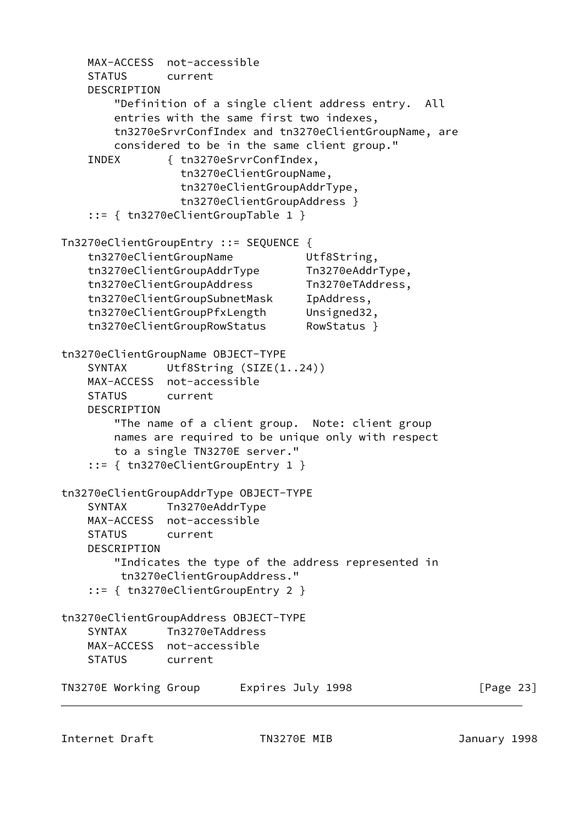MAX-ACCESS not-accessible STATUS current DESCRIPTION "Definition of a single client address entry. All entries with the same first two indexes, tn3270eSrvrConfIndex and tn3270eClientGroupName, are considered to be in the same client group." INDEX { tn3270eSrvrConfIndex, tn3270eClientGroupName, tn3270eClientGroupAddrType, tn3270eClientGroupAddress } ::= { tn3270eClientGroupTable 1 } Tn3270eClientGroupEntry ::= SEQUENCE { tn3270eClientGroupName Utf8String, tn3270eClientGroupAddrType Tn3270eAddrType, tn3270eClientGroupAddress Tn3270eTAddress, tn3270eClientGroupSubnetMask IpAddress, tn3270eClientGroupPfxLength Unsigned32, tn3270eClientGroupRowStatus RowStatus } tn3270eClientGroupName OBJECT-TYPE SYNTAX Utf8String (SIZE(1..24)) MAX-ACCESS not-accessible STATUS current DESCRIPTION "The name of a client group. Note: client group names are required to be unique only with respect to a single TN3270E server." ::= { tn3270eClientGroupEntry 1 } tn3270eClientGroupAddrType OBJECT-TYPE SYNTAX Tn3270eAddrType MAX-ACCESS not-accessible STATUS current DESCRIPTION "Indicates the type of the address represented in tn3270eClientGroupAddress." ::= { tn3270eClientGroupEntry 2 } tn3270eClientGroupAddress OBJECT-TYPE SYNTAX Tn3270eTAddress MAX-ACCESS not-accessible STATUS current TN3270E Working Group Lexpires July 1998 [Page 23]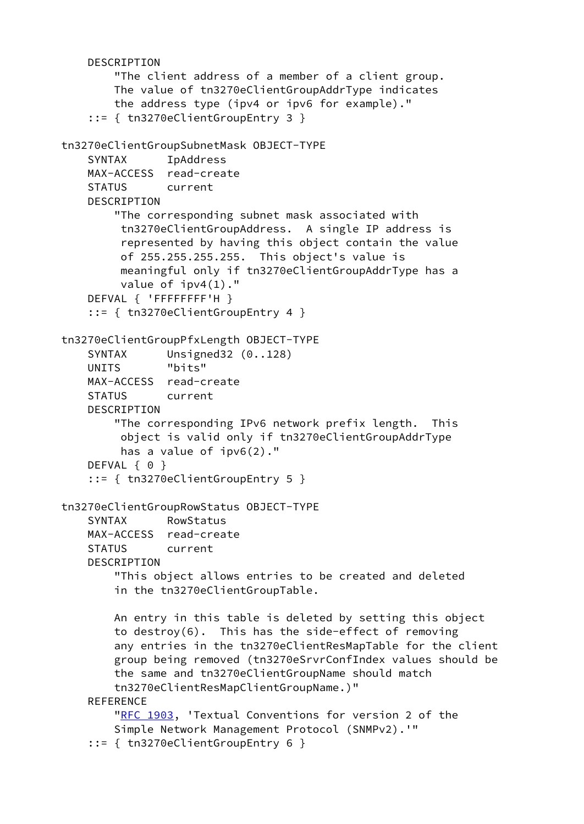```
 DESCRIPTION
         "The client address of a member of a client group.
         The value of tn3270eClientGroupAddrType indicates
         the address type (ipv4 or ipv6 for example)."
     ::= { tn3270eClientGroupEntry 3 }
tn3270eClientGroupSubnetMask OBJECT-TYPE
     SYNTAX IpAddress
     MAX-ACCESS read-create
     STATUS current
     DESCRIPTION
         "The corresponding subnet mask associated with
          tn3270eClientGroupAddress. A single IP address is
          represented by having this object contain the value
          of 255.255.255.255. This object's value is
          meaningful only if tn3270eClientGroupAddrType has a
          value of ipv4(1)."
     DEFVAL { 'FFFFFFFF'H }
     ::= { tn3270eClientGroupEntry 4 }
tn3270eClientGroupPfxLength OBJECT-TYPE
    SYNTAX Unsigned32 (0..128)
     UNITS "bits"
     MAX-ACCESS read-create
     STATUS current
     DESCRIPTION
         "The corresponding IPv6 network prefix length. This
          object is valid only if tn3270eClientGroupAddrType
          has a value of ipv6(2)."
    DEFVAL { 0 }
     ::= { tn3270eClientGroupEntry 5 }
tn3270eClientGroupRowStatus OBJECT-TYPE
     SYNTAX RowStatus
     MAX-ACCESS read-create
     STATUS current
     DESCRIPTION
         "This object allows entries to be created and deleted
         in the tn3270eClientGroupTable.
         An entry in this table is deleted by setting this object
         to destroy(6). This has the side-effect of removing
         any entries in the tn3270eClientResMapTable for the client
         group being removed (tn3270eSrvrConfIndex values should be
         the same and tn3270eClientGroupName should match
         tn3270eClientResMapClientGroupName.)"
     REFERENCE
         "RFC 1903, 'Textual Conventions for version 2 of the
         Simple Network Management Protocol (SNMPv2).'"
     ::= { tn3270eClientGroupEntry 6 }
```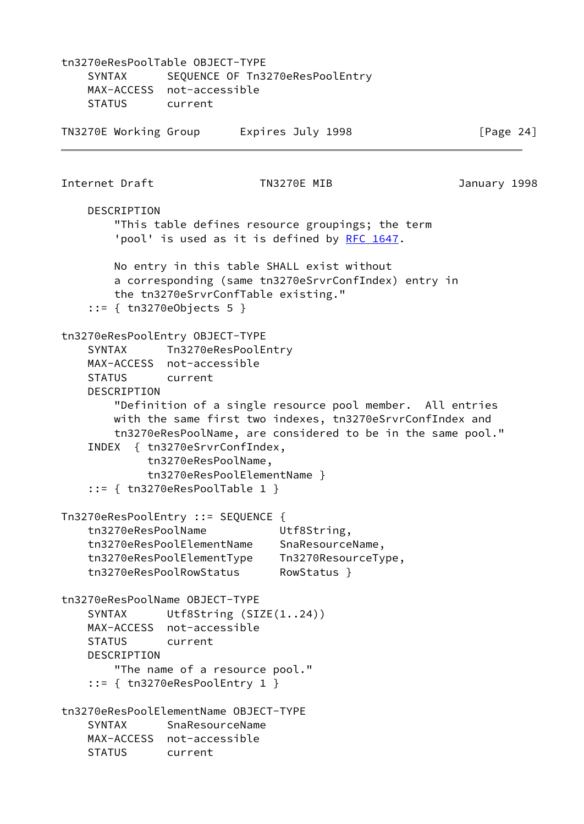tn3270eResPoolTable OBJECT-TYPE SYNTAX SEQUENCE OF Tn3270eResPoolEntry MAX-ACCESS not-accessible STATUS current TN3270E Working Group Latinum Expires July 1998 The State 1998 Internet Draft TN3270E MIB January 1998 DESCRIPTION "This table defines resource groupings; the term 'pool' is used as it is defined by [RFC 1647](https://datatracker.ietf.org/doc/pdf/rfc1647). No entry in this table SHALL exist without a corresponding (same tn3270eSrvrConfIndex) entry in the tn3270eSrvrConfTable existing." ::= { tn3270eObjects 5 } tn3270eResPoolEntry OBJECT-TYPE SYNTAX Tn3270eResPoolEntry MAX-ACCESS not-accessible STATUS current DESCRIPTION "Definition of a single resource pool member. All entries with the same first two indexes, tn3270eSrvrConfIndex and tn3270eResPoolName, are considered to be in the same pool." INDEX { tn3270eSrvrConfIndex, tn3270eResPoolName, tn3270eResPoolElementName } ::= { tn3270eResPoolTable 1 } Tn3270eResPoolEntry ::= SEQUENCE { tn3270eResPoolName Utf8String, tn3270eResPoolElementName SnaResourceName, tn3270eResPoolElementType Tn3270ResourceType, tn3270eResPoolRowStatus RowStatus } tn3270eResPoolName OBJECT-TYPE SYNTAX Utf8String (SIZE(1..24)) MAX-ACCESS not-accessible STATUS current DESCRIPTION "The name of a resource pool." ::= { tn3270eResPoolEntry 1 } tn3270eResPoolElementName OBJECT-TYPE SYNTAX SnaResourceName MAX-ACCESS not-accessible STATUS current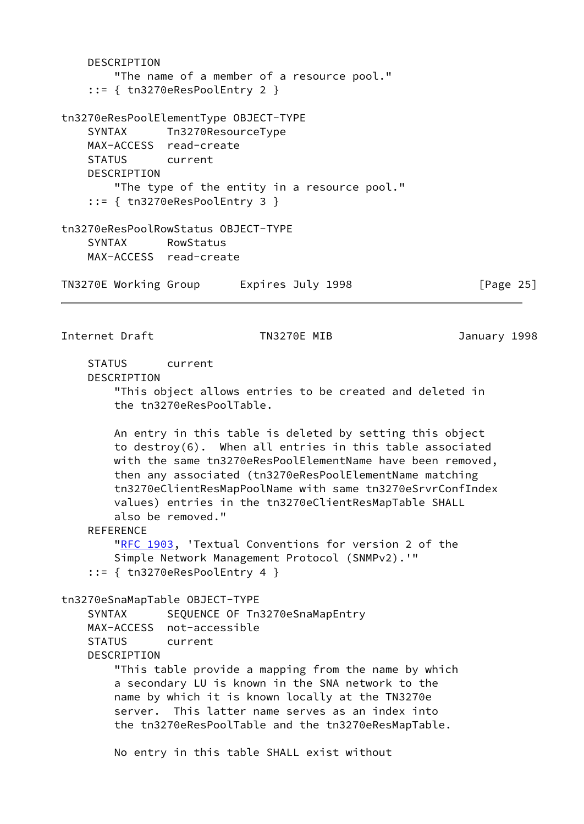DESCRIPTION "The name of a member of a resource pool." ::= { tn3270eResPoolEntry 2 } tn3270eResPoolElementType OBJECT-TYPE SYNTAX Tn3270ResourceType MAX-ACCESS read-create STATUS current DESCRIPTION "The type of the entity in a resource pool." ::= { tn3270eResPoolEntry 3 } tn3270eResPoolRowStatus OBJECT-TYPE SYNTAX RowStatus MAX-ACCESS read-create TN3270E Working Group Lexpires July 1998 [Page 25] Internet Draft TN3270E MIB January 1998 STATUS current DESCRIPTION "This object allows entries to be created and deleted in the tn3270eResPoolTable. An entry in this table is deleted by setting this object to destroy(6). When all entries in this table associated with the same tn3270eResPoolElementName have been removed, then any associated (tn3270eResPoolElementName matching tn3270eClientResMapPoolName with same tn3270eSrvrConfIndex values) entries in the tn3270eClientResMapTable SHALL also be removed." REFERENCE ["RFC 1903](https://datatracker.ietf.org/doc/pdf/rfc1903), 'Textual Conventions for version 2 of the Simple Network Management Protocol (SNMPv2).'" ::= { tn3270eResPoolEntry 4 } tn3270eSnaMapTable OBJECT-TYPE SYNTAX SEQUENCE OF Tn3270eSnaMapEntry MAX-ACCESS not-accessible STATUS current DESCRIPTION "This table provide a mapping from the name by which a secondary LU is known in the SNA network to the name by which it is known locally at the TN3270e server. This latter name serves as an index into the tn3270eResPoolTable and the tn3270eResMapTable. No entry in this table SHALL exist without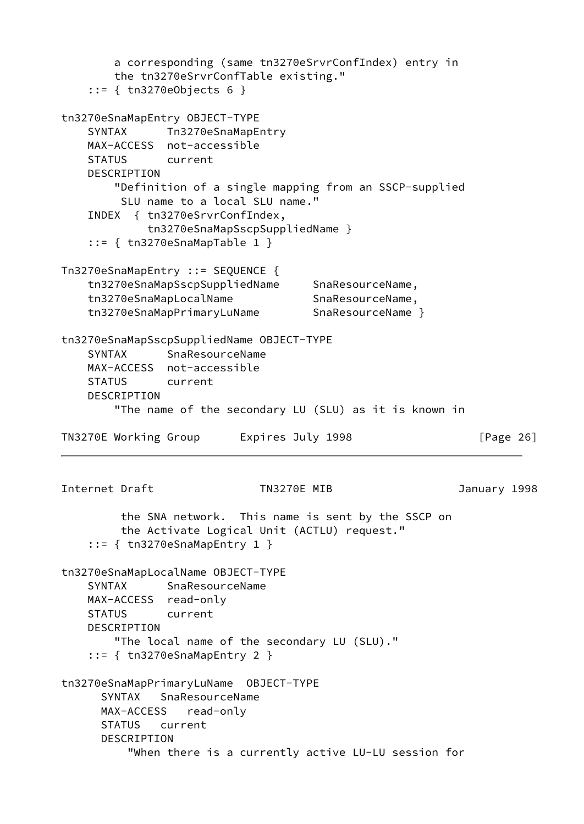a corresponding (same tn3270eSrvrConfIndex) entry in the tn3270eSrvrConfTable existing." ::= { tn3270eObjects 6 } tn3270eSnaMapEntry OBJECT-TYPE SYNTAX Tn3270eSnaMapEntry MAX-ACCESS not-accessible STATUS current DESCRIPTION "Definition of a single mapping from an SSCP-supplied SLU name to a local SLU name." INDEX { tn3270eSrvrConfIndex, tn3270eSnaMapSscpSuppliedName } ::= { tn3270eSnaMapTable 1 } Tn3270eSnaMapEntry ::= SEQUENCE { tn3270eSnaMapSscpSuppliedName SnaResourceName, tn3270eSnaMapLocalName SnaResourceName, tn3270eSnaMapPrimaryLuName SnaResourceName } tn3270eSnaMapSscpSuppliedName OBJECT-TYPE SYNTAX SnaResourceName MAX-ACCESS not-accessible STATUS current DESCRIPTION "The name of the secondary LU (SLU) as it is known in TN3270E Working Group Lexpires July 1998 [Page 26] Internet Draft TN3270E MIB January 1998 the SNA network. This name is sent by the SSCP on the Activate Logical Unit (ACTLU) request." ::= { tn3270eSnaMapEntry 1 } tn3270eSnaMapLocalName OBJECT-TYPE SYNTAX SnaResourceName MAX-ACCESS read-only STATUS current DESCRIPTION "The local name of the secondary LU (SLU)." ::= { tn3270eSnaMapEntry 2 } tn3270eSnaMapPrimaryLuName OBJECT-TYPE SYNTAX SnaResourceName MAX-ACCESS read-only STATUS current DESCRIPTION "When there is a currently active LU-LU session for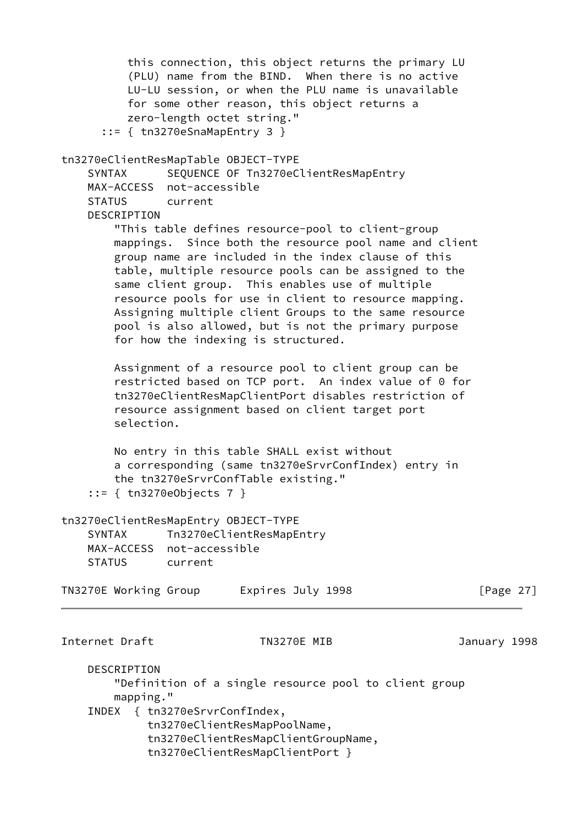| this connection, this object returns the primary LU<br>(PLU) name from the BIND. When there is no active<br>LU-LU session, or when the PLU name is unavailable<br>for some other reason, this object returns a<br>zero-length octet string."                                                                                                                                                                                                                                                    |              |
|-------------------------------------------------------------------------------------------------------------------------------------------------------------------------------------------------------------------------------------------------------------------------------------------------------------------------------------------------------------------------------------------------------------------------------------------------------------------------------------------------|--------------|
| $::= \{$ tn3270eSnaMapEntry 3 }<br>tn3270eClientResMapTable OBJECT-TYPE<br>SEQUENCE OF Tn3270eClientResMapEntry<br><b>SYNTAX</b><br>MAX-ACCESS not-accessible<br><b>STATUS</b><br>current<br>DESCRIPTION                                                                                                                                                                                                                                                                                        |              |
| "This table defines resource-pool to client-group<br>mappings. Since both the resource pool name and client<br>group name are included in the index clause of this<br>table, multiple resource pools can be assigned to the<br>same client group. This enables use of multiple<br>resource pools for use in client to resource mapping.<br>Assigning multiple client Groups to the same resource<br>pool is also allowed, but is not the primary purpose<br>for how the indexing is structured. |              |
| Assignment of a resource pool to client group can be<br>restricted based on TCP port. An index value of 0 for<br>tn3270eClientResMapClientPort disables restriction of<br>resource assignment based on client target port<br>selection.                                                                                                                                                                                                                                                         |              |
| No entry in this table SHALL exist without<br>a corresponding (same tn3270eSrvrConfIndex) entry in<br>the tn3270eSrvrConfTable existing."                                                                                                                                                                                                                                                                                                                                                       |              |
| tn3270eClientResMapEntry OBJECT-TYPE<br>Tn3270eClientResMapEntry<br><b>SYNTAX</b><br>MAX-ACCESS not-accessible<br><b>STATUS</b><br>current                                                                                                                                                                                                                                                                                                                                                      |              |
| TN3270E Working Group<br>Expires July 1998                                                                                                                                                                                                                                                                                                                                                                                                                                                      | [Page $27$ ] |
| Internet Draft<br>TN3270E MIB                                                                                                                                                                                                                                                                                                                                                                                                                                                                   | January 1998 |
| DESCRIPTION<br>"Definition of a single resource pool to client group<br>mapping."                                                                                                                                                                                                                                                                                                                                                                                                               |              |
| INDEX { tn3270eSrvrConfIndex,<br>tn3270eClientResMapPoolName,<br>tn3270eClientResMapClientGroupName,<br>tn3270eClientResMapClientPort }                                                                                                                                                                                                                                                                                                                                                         |              |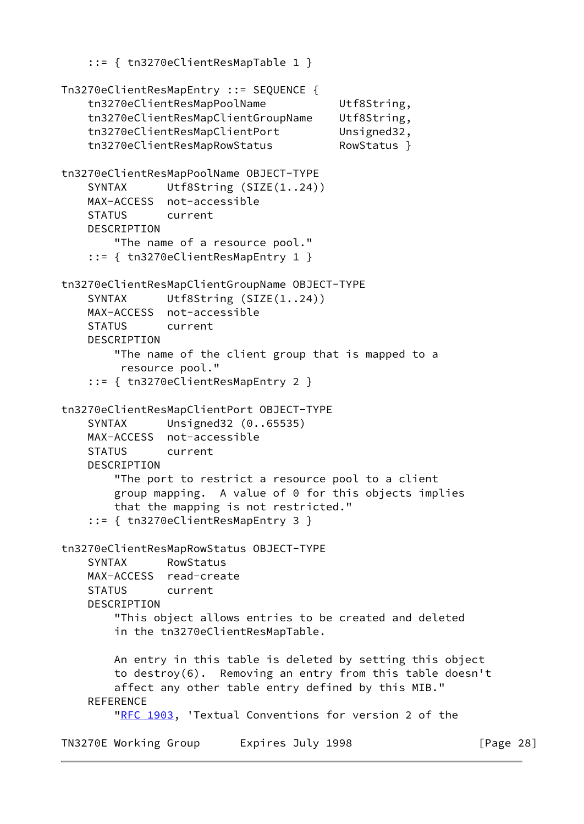```
 ::= { tn3270eClientResMapTable 1 }
Tn3270eClientResMapEntry ::= SEQUENCE {
     tn3270eClientResMapPoolName Utf8String,
    tn3270eClientResMapClientGroupName Utf8String,
    tn3270eClientResMapClientPort Unsigned32,
    tn3270eClientResMapRowStatus RowStatus }
tn3270eClientResMapPoolName OBJECT-TYPE
    SYNTAX Utf8String (SIZE(1..24))
    MAX-ACCESS not-accessible
    STATUS current
    DESCRIPTION
        "The name of a resource pool."
     ::= { tn3270eClientResMapEntry 1 }
tn3270eClientResMapClientGroupName OBJECT-TYPE
    SYNTAX Utf8String (SIZE(1..24))
    MAX-ACCESS not-accessible
    STATUS current
     DESCRIPTION
         "The name of the client group that is mapped to a
         resource pool."
     ::= { tn3270eClientResMapEntry 2 }
tn3270eClientResMapClientPort OBJECT-TYPE
     SYNTAX Unsigned32 (0..65535)
    MAX-ACCESS not-accessible
     STATUS current
     DESCRIPTION
         "The port to restrict a resource pool to a client
        group mapping. A value of 0 for this objects implies
        that the mapping is not restricted."
     ::= { tn3270eClientResMapEntry 3 }
tn3270eClientResMapRowStatus OBJECT-TYPE
     SYNTAX RowStatus
    MAX-ACCESS read-create
    STATUS current
     DESCRIPTION
         "This object allows entries to be created and deleted
        in the tn3270eClientResMapTable.
        An entry in this table is deleted by setting this object
        to destroy(6). Removing an entry from this table doesn't
        affect any other table entry defined by this MIB."
     REFERENCE
        "RFC 1903, 'Textual Conventions for version 2 of the
TN3270E Working Group Lexpires July 1998 TN3270E Working Group
```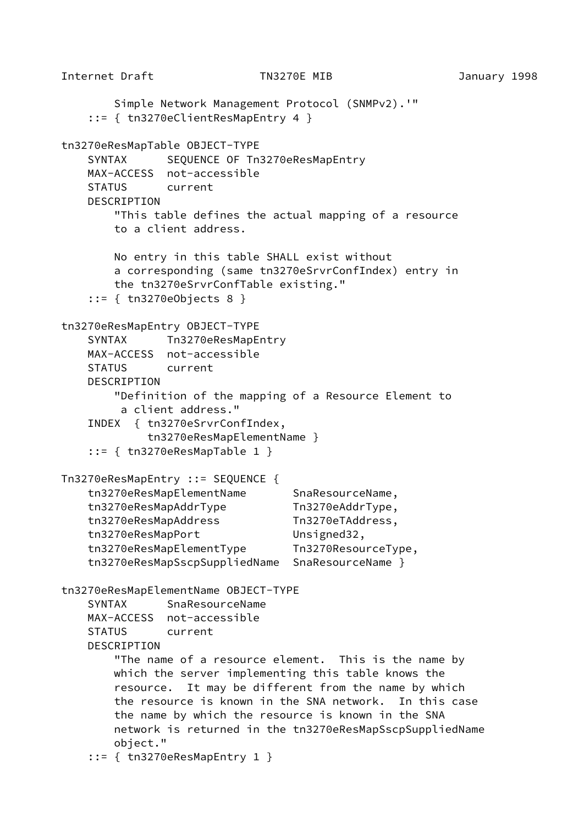```
Internet Draft TN3270E MIB January 1998
        Simple Network Management Protocol (SNMPv2).'"
     ::= { tn3270eClientResMapEntry 4 }
tn3270eResMapTable OBJECT-TYPE
   SYNTAX SEQUENCE OF Tn3270eResMapEntry
    MAX-ACCESS not-accessible
    STATUS current
    DESCRIPTION
        "This table defines the actual mapping of a resource
        to a client address.
        No entry in this table SHALL exist without
        a corresponding (same tn3270eSrvrConfIndex) entry in
        the tn3270eSrvrConfTable existing."
     ::= { tn3270eObjects 8 }
tn3270eResMapEntry OBJECT-TYPE
   SYNTAX Tn3270eResMapEntry
    MAX-ACCESS not-accessible
    STATUS current
    DESCRIPTION
        "Definition of the mapping of a Resource Element to
         a client address."
    INDEX { tn3270eSrvrConfIndex,
             tn3270eResMapElementName }
     ::= { tn3270eResMapTable 1 }
Tn3270eResMapEntry ::= SEQUENCE {
   tn3270eResMapElementName SnaResourceName,
    tn3270eResMapAddrType Tn3270eAddrType,
    tn3270eResMapAddress Tn3270eTAddress,
   tn3270eResMapPort Unsigned32,
    tn3270eResMapElementType Tn3270ResourceType,
    tn3270eResMapSscpSuppliedName SnaResourceName }
tn3270eResMapElementName OBJECT-TYPE
    SYNTAX SnaResourceName
    MAX-ACCESS not-accessible
    STATUS current
    DESCRIPTION
        "The name of a resource element. This is the name by
        which the server implementing this table knows the
        resource. It may be different from the name by which
        the resource is known in the SNA network. In this case
        the name by which the resource is known in the SNA
        network is returned in the tn3270eResMapSscpSuppliedName
        object."
     ::= { tn3270eResMapEntry 1 }
```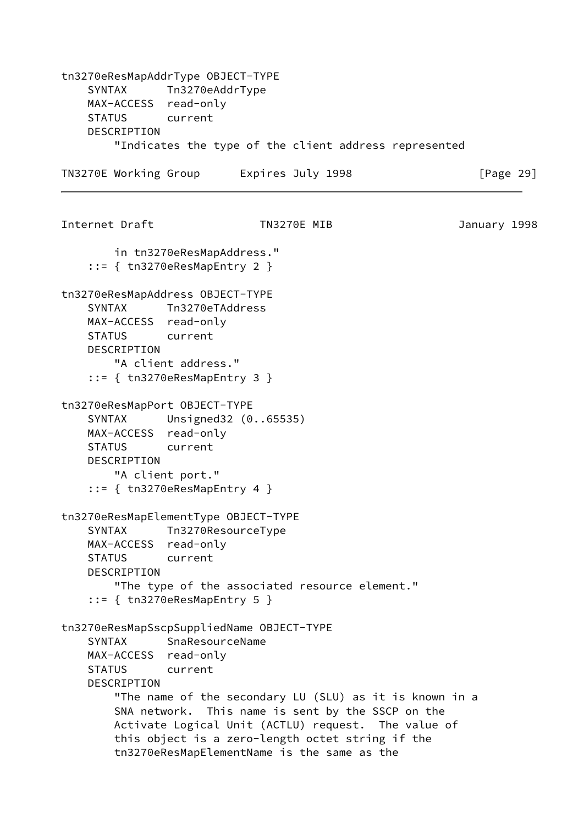tn3270eResMapAddrType OBJECT-TYPE SYNTAX Tn3270eAddrType MAX-ACCESS read-only STATUS current DESCRIPTION "Indicates the type of the client address represented TN3270E Working Group Lexpires July 1998 The Reader of Page 29] Internet Draft TN3270E MIB January 1998 in tn3270eResMapAddress." ::= { tn3270eResMapEntry 2 } tn3270eResMapAddress OBJECT-TYPE SYNTAX Tn3270eTAddress MAX-ACCESS read-only STATUS current DESCRIPTION "A client address." ::= { tn3270eResMapEntry 3 } tn3270eResMapPort OBJECT-TYPE SYNTAX Unsigned32 (0..65535) MAX-ACCESS read-only STATUS current DESCRIPTION "A client port." ::= { tn3270eResMapEntry 4 } tn3270eResMapElementType OBJECT-TYPE SYNTAX Tn3270ResourceType MAX-ACCESS read-only STATUS current DESCRIPTION "The type of the associated resource element." ::= { tn3270eResMapEntry 5 } tn3270eResMapSscpSuppliedName OBJECT-TYPE SYNTAX SnaResourceName MAX-ACCESS read-only STATUS current DESCRIPTION "The name of the secondary LU (SLU) as it is known in a SNA network. This name is sent by the SSCP on the Activate Logical Unit (ACTLU) request. The value of this object is a zero-length octet string if the tn3270eResMapElementName is the same as the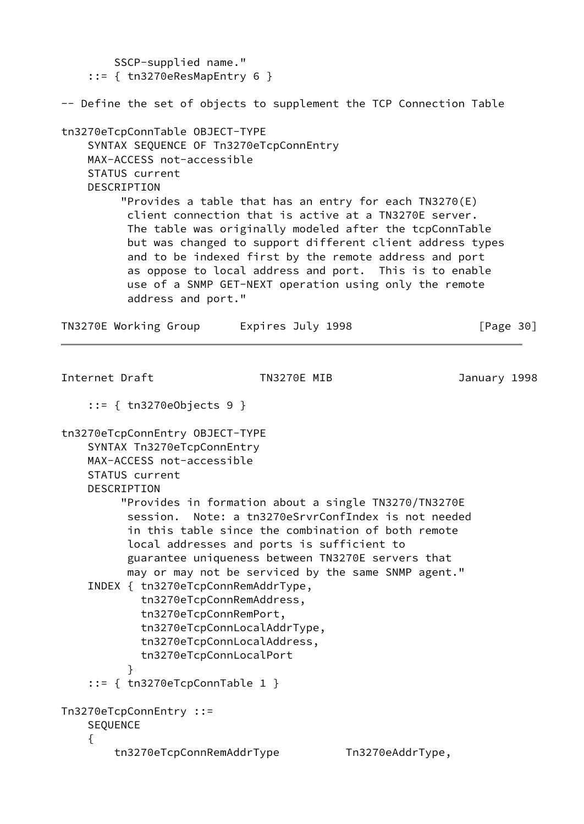SSCP-supplied name."  $::=$  { tn3270eResMapEntry 6 } -- Define the set of objects to supplement the TCP Connection Table tn3270eTcpConnTable OBJECT-TYPE SYNTAX SEQUENCE OF Tn3270eTcpConnEntry MAX-ACCESS not-accessible STATUS current **DESCRIPTION**  "Provides a table that has an entry for each TN3270(E) client connection that is active at a TN3270E server. The table was originally modeled after the tcpConnTable but was changed to support different client address types and to be indexed first by the remote address and port as oppose to local address and port. This is to enable use of a SNMP GET-NEXT operation using only the remote address and port." TN3270E Working Group Lexpires July 1998 The Reader of Page 30] Internet Draft TN3270E MIB January 1998 ::= { tn3270eObjects 9 } tn3270eTcpConnEntry OBJECT-TYPE SYNTAX Tn3270eTcpConnEntry MAX-ACCESS not-accessible STATUS current DESCRIPTION "Provides in formation about a single TN3270/TN3270E session. Note: a tn3270eSrvrConfIndex is not needed in this table since the combination of both remote local addresses and ports is sufficient to guarantee uniqueness between TN3270E servers that may or may not be serviced by the same SNMP agent." INDEX { tn3270eTcpConnRemAddrType, tn3270eTcpConnRemAddress, tn3270eTcpConnRemPort, tn3270eTcpConnLocalAddrType, tn3270eTcpConnLocalAddress, tn3270eTcpConnLocalPort } ::= { tn3270eTcpConnTable 1 } Tn3270eTcpConnEntry ::= SEQUENCE { tn3270eTcpConnRemAddrType Tn3270eAddrType,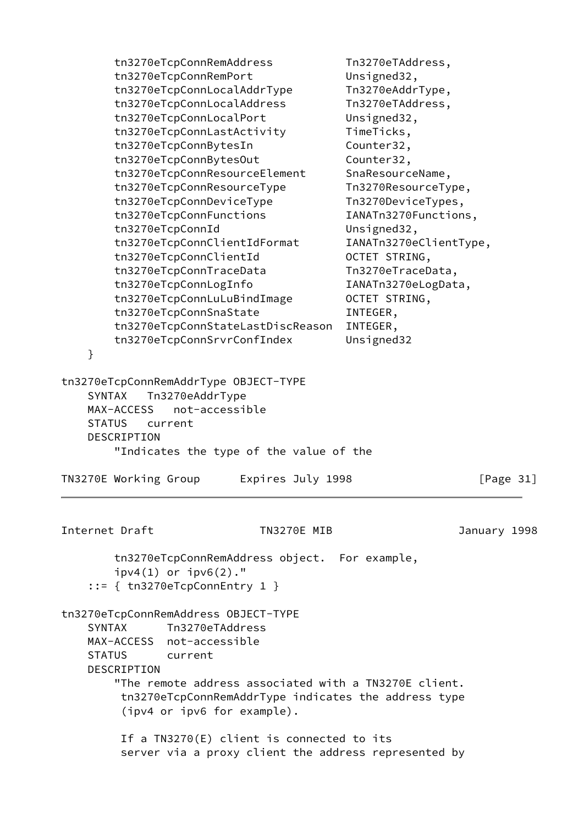| }<br>SYNTAX    | tn3270eTcpConnRemAddress<br>tn3270eTcpConnRemPort<br>tn3270eTcpConnLocalAddrType<br>tn3270eTcpConnLocalAddress<br>tn3270eTcpConnLocalPort<br>tn3270eTcpConnLastActivity<br>tn3270eTcpConnBytesIn<br>tn3270eTcpConnBytesOut<br>tn3270eTcpConnResourceElement<br>tn3270eTcpConnResourceType<br>tn3270eTcpConnDeviceType<br>tn3270eTcpConnFunctions<br>tn3270eTcpConnId<br>tn3270eTcpConnClientIdFormat<br>tn3270eTcpConnClientId<br>tn3270eTcpConnTraceData<br>tn3270eTcpConnLogInfo<br>tn3270eTcpConnLuLuBindImage<br>tn3270eTcpConnSnaState<br>tn3270eTcpConnStateLastDiscReason<br>tn3270eTcpConnSrvrConfIndex<br>tn3270eTcpConnRemAddrType OBJECT-TYPE<br>Tn3270eAddrType |                                               | Tn3270eTAddress,<br>Unsigned32,<br>Tn3270eAddrType,<br>Tn3270eTAddress,<br>Unsigned32,<br>TimeTicks,<br>Counter32,<br>Counter32,<br>SnaResourceName,<br>Tn3270ResourceType,<br>Tn3270DeviceTypes,<br>IANATn3270Functions,<br>Unsigned32,<br>IANATn3270eClientType,<br>OCTET STRING,<br>Tn3270eTraceData,<br>IANATn3270eLogData,<br>OCTET STRING,<br>INTEGER,<br>INTEGER,<br>Unsigned32 |              |
|----------------|-----------------------------------------------------------------------------------------------------------------------------------------------------------------------------------------------------------------------------------------------------------------------------------------------------------------------------------------------------------------------------------------------------------------------------------------------------------------------------------------------------------------------------------------------------------------------------------------------------------------------------------------------------------------------------|-----------------------------------------------|----------------------------------------------------------------------------------------------------------------------------------------------------------------------------------------------------------------------------------------------------------------------------------------------------------------------------------------------------------------------------------------|--------------|
|                | not-accessible<br>MAX-ACCESS                                                                                                                                                                                                                                                                                                                                                                                                                                                                                                                                                                                                                                                |                                               |                                                                                                                                                                                                                                                                                                                                                                                        |              |
| <b>STATUS</b>  | current                                                                                                                                                                                                                                                                                                                                                                                                                                                                                                                                                                                                                                                                     |                                               |                                                                                                                                                                                                                                                                                                                                                                                        |              |
|                | <b>DESCRIPTION</b>                                                                                                                                                                                                                                                                                                                                                                                                                                                                                                                                                                                                                                                          | "Indicates the type of the value of the       |                                                                                                                                                                                                                                                                                                                                                                                        |              |
|                | TN3270E Working Group                                                                                                                                                                                                                                                                                                                                                                                                                                                                                                                                                                                                                                                       | Expires July 1998                             |                                                                                                                                                                                                                                                                                                                                                                                        | [Page $31$ ] |
| Internet Draft |                                                                                                                                                                                                                                                                                                                                                                                                                                                                                                                                                                                                                                                                             | TN3270E MIB                                   |                                                                                                                                                                                                                                                                                                                                                                                        | January 1998 |
|                | $ipv4(1)$ or $ipv6(2)$ ."<br>$::= \{$ tn3270eTcpConnEntry 1 }                                                                                                                                                                                                                                                                                                                                                                                                                                                                                                                                                                                                               | tn3270eTcpConnRemAddress object. For example, |                                                                                                                                                                                                                                                                                                                                                                                        |              |
| <b>SYNTAX</b>  | tn3270eTcpConnRemAddress OBJECT-TYPE<br>Tn3270eTAddress<br>MAX-ACCESS not-accessible<br>STATUS current<br>DESCRIPTION<br>(ipv4 or ipv6 for example).                                                                                                                                                                                                                                                                                                                                                                                                                                                                                                                        |                                               | "The remote address associated with a TN3270E client.<br>tn3270eTcpConnRemAddrType indicates the address type                                                                                                                                                                                                                                                                          |              |
|                |                                                                                                                                                                                                                                                                                                                                                                                                                                                                                                                                                                                                                                                                             | If a TN3270(E) client is connected to its     | server via a proxy client the address represented by                                                                                                                                                                                                                                                                                                                                   |              |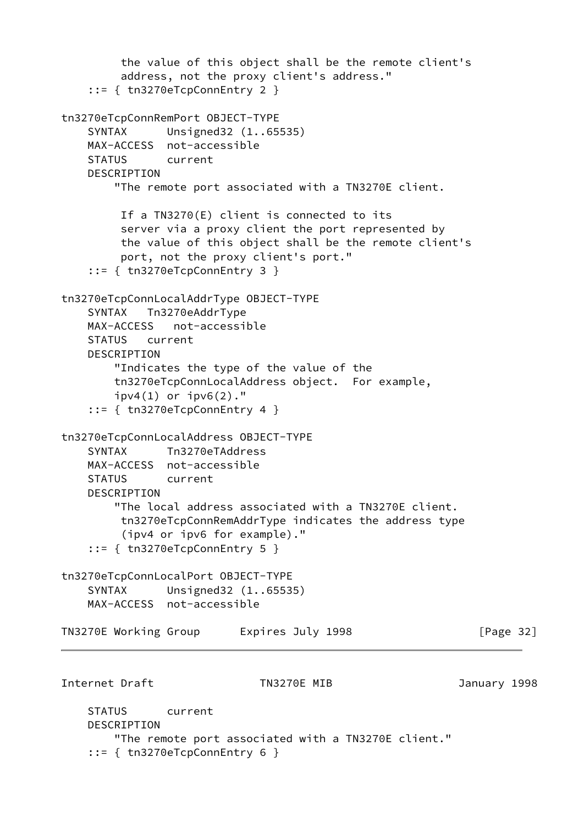```
 the value of this object shall be the remote client's
         address, not the proxy client's address."
     ::= { tn3270eTcpConnEntry 2 }
tn3270eTcpConnRemPort OBJECT-TYPE
     SYNTAX Unsigned32 (1..65535)
    MAX-ACCESS not-accessible
     STATUS current
     DESCRIPTION
         "The remote port associated with a TN3270E client.
         If a TN3270(E) client is connected to its
         server via a proxy client the port represented by
         the value of this object shall be the remote client's
         port, not the proxy client's port."
     ::= { tn3270eTcpConnEntry 3 }
tn3270eTcpConnLocalAddrType OBJECT-TYPE
     SYNTAX Tn3270eAddrType
    MAX-ACCESS not-accessible
     STATUS current
     DESCRIPTION
        "Indicates the type of the value of the
        tn3270eTcpConnLocalAddress object. For example,
       ipv4(1) or ipv6(2)."
     ::= { tn3270eTcpConnEntry 4 }
tn3270eTcpConnLocalAddress OBJECT-TYPE
     SYNTAX Tn3270eTAddress
    MAX-ACCESS not-accessible
    STATUS current
    DESCRIPTION
         "The local address associated with a TN3270E client.
         tn3270eTcpConnRemAddrType indicates the address type
          (ipv4 or ipv6 for example)."
     ::= { tn3270eTcpConnEntry 5 }
tn3270eTcpConnLocalPort OBJECT-TYPE
     SYNTAX Unsigned32 (1..65535)
    MAX-ACCESS not-accessible
TN3270E Working Group Lexpires July 1998 The Reader of Page 32]
Internet Draft TN3270E MIB January 1998
     STATUS current
    DESCRIPTION
        "The remote port associated with a TN3270E client."
     ::= { tn3270eTcpConnEntry 6 }
```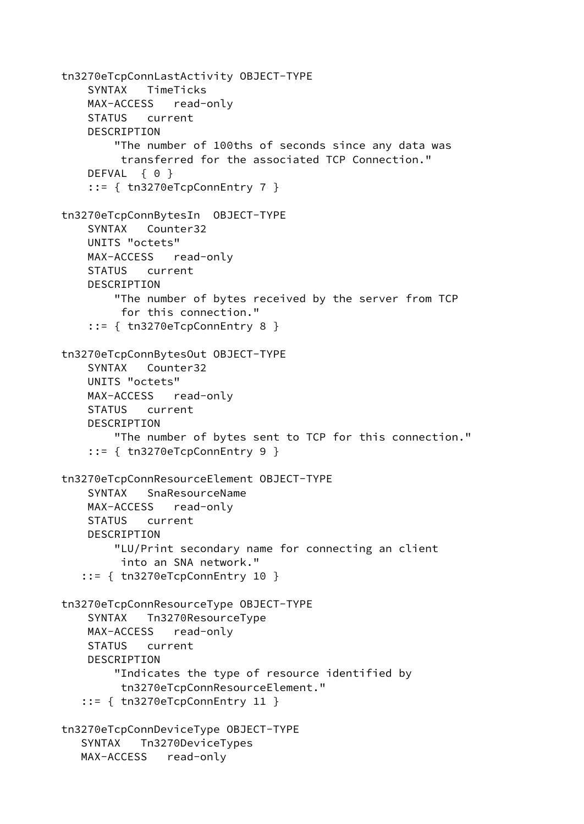```
tn3270eTcpConnLastActivity OBJECT-TYPE
     SYNTAX TimeTicks
     MAX-ACCESS read-only
     STATUS current
     DESCRIPTION
         "The number of 100ths of seconds since any data was
          transferred for the associated TCP Connection."
    DEFVAL { 0 }
     ::= { tn3270eTcpConnEntry 7 }
tn3270eTcpConnBytesIn OBJECT-TYPE
     SYNTAX Counter32
     UNITS "octets"
     MAX-ACCESS read-only
     STATUS current
     DESCRIPTION
         "The number of bytes received by the server from TCP
          for this connection."
     ::= { tn3270eTcpConnEntry 8 }
tn3270eTcpConnBytesOut OBJECT-TYPE
     SYNTAX Counter32
     UNITS "octets"
     MAX-ACCESS read-only
     STATUS current
     DESCRIPTION
         "The number of bytes sent to TCP for this connection."
     ::= { tn3270eTcpConnEntry 9 }
tn3270eTcpConnResourceElement OBJECT-TYPE
     SYNTAX SnaResourceName
     MAX-ACCESS read-only
     STATUS current
     DESCRIPTION
         "LU/Print secondary name for connecting an client
          into an SNA network."
    ::= { tn3270eTcpConnEntry 10 }
tn3270eTcpConnResourceType OBJECT-TYPE
     SYNTAX Tn3270ResourceType
     MAX-ACCESS read-only
     STATUS current
     DESCRIPTION
         "Indicates the type of resource identified by
          tn3270eTcpConnResourceElement."
    ::= { tn3270eTcpConnEntry 11 }
tn3270eTcpConnDeviceType OBJECT-TYPE
    SYNTAX Tn3270DeviceTypes
    MAX-ACCESS read-only
```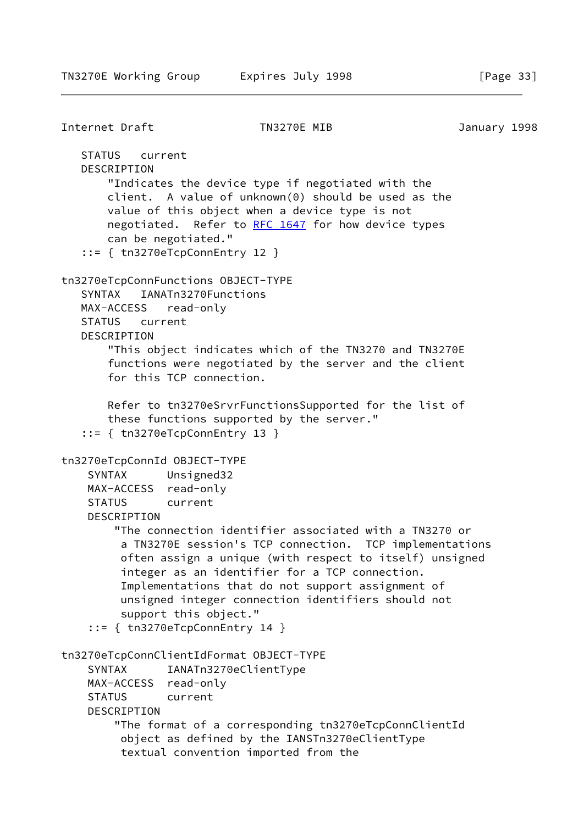```
Internet Draft TN3270E MIB January 1998
   STATUS current
   DESCRIPTION
       "Indicates the device type if negotiated with the
       client. A value of unknown(0) should be used as the
       value of this object when a device type is not
       RFC 1647 for how device types
       can be negotiated."
    ::= { tn3270eTcpConnEntry 12 }
tn3270eTcpConnFunctions OBJECT-TYPE
   SYNTAX IANATn3270Functions
   MAX-ACCESS read-only
   STATUS current
   DESCRIPTION
       "This object indicates which of the TN3270 and TN3270E
       functions were negotiated by the server and the client
       for this TCP connection.
       Refer to tn3270eSrvrFunctionsSupported for the list of
       these functions supported by the server."
    ::= { tn3270eTcpConnEntry 13 }
tn3270eTcpConnId OBJECT-TYPE
     SYNTAX Unsigned32
    MAX-ACCESS read-only
    STATUS current
    DESCRIPTION
         "The connection identifier associated with a TN3270 or
         a TN3270E session's TCP connection. TCP implementations
         often assign a unique (with respect to itself) unsigned
         integer as an identifier for a TCP connection.
         Implementations that do not support assignment of
         unsigned integer connection identifiers should not
         support this object."
     ::= { tn3270eTcpConnEntry 14 }
tn3270eTcpConnClientIdFormat OBJECT-TYPE
     SYNTAX IANATn3270eClientType
    MAX-ACCESS read-only
     STATUS current
     DESCRIPTION
         "The format of a corresponding tn3270eTcpConnClientId
         object as defined by the IANSTn3270eClientType
         textual convention imported from the
```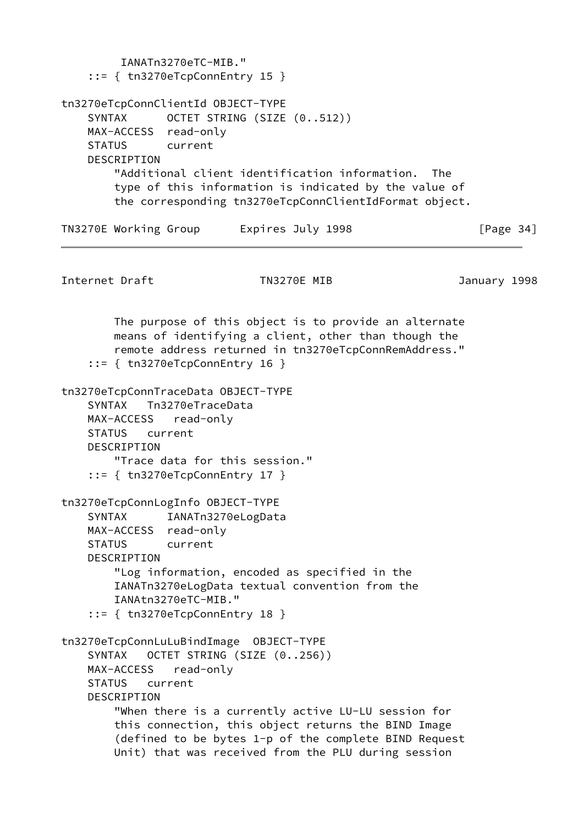```
 IANATn3270eTC-MIB."
     ::= { tn3270eTcpConnEntry 15 }
tn3270eTcpConnClientId OBJECT-TYPE
    SYNTAX OCTET STRING (SIZE (0..512))
    MAX-ACCESS read-only
     STATUS current
    DESCRIPTION
        "Additional client identification information. The
        type of this information is indicated by the value of
        the corresponding tn3270eTcpConnClientIdFormat object.
TN3270E Working Group Lexpires July 1998 [Page 34]
Internet Draft TN3270E MIB January 1998
        The purpose of this object is to provide an alternate
        means of identifying a client, other than though the
        remote address returned in tn3270eTcpConnRemAddress."
     ::= { tn3270eTcpConnEntry 16 }
tn3270eTcpConnTraceData OBJECT-TYPE
     SYNTAX Tn3270eTraceData
    MAX-ACCESS read-only
     STATUS current
    DESCRIPTION
        "Trace data for this session."
     ::= { tn3270eTcpConnEntry 17 }
tn3270eTcpConnLogInfo OBJECT-TYPE
    SYNTAX IANATn3270eLogData
    MAX-ACCESS read-only
    STATUS current
     DESCRIPTION
        "Log information, encoded as specified in the
        IANATn3270eLogData textual convention from the
        IANAtn3270eTC-MIB."
     ::= { tn3270eTcpConnEntry 18 }
tn3270eTcpConnLuLuBindImage OBJECT-TYPE
     SYNTAX OCTET STRING (SIZE (0..256))
    MAX-ACCESS read-only
     STATUS current
     DESCRIPTION
        "When there is a currently active LU-LU session for
        this connection, this object returns the BIND Image
         (defined to be bytes 1-p of the complete BIND Request
        Unit) that was received from the PLU during session
```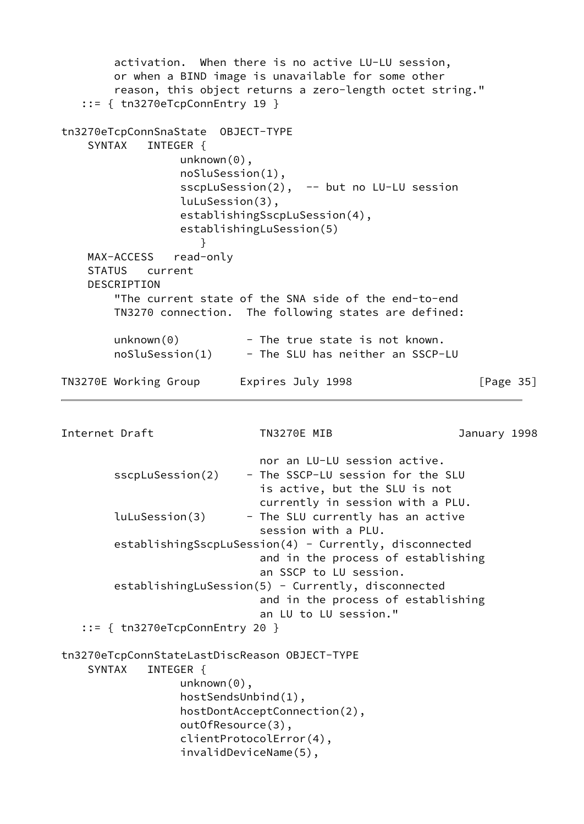```
 activation. When there is no active LU-LU session,
        or when a BIND image is unavailable for some other
         reason, this object returns a zero-length octet string."
    ::= { tn3270eTcpConnEntry 19 }
tn3270eTcpConnSnaState OBJECT-TYPE
     SYNTAX INTEGER {
                 unknown(0),
                  noSluSession(1),
                 sscpLuSession(2), -- but no LU-LU session
                  luLuSession(3),
                  establishingSscpLuSession(4),
                  establishingLuSession(5)
 }
    MAX-ACCESS read-only
     STATUS current
     DESCRIPTION
        "The current state of the SNA side of the end-to-end
        TN3270 connection. The following states are defined:
       unknown(0) - The true state is not known.
        noSluSession(1) - The SLU has neither an SSCP-LU
TN3270E Working Group Lexpires July 1998 TN3270E Working Group
Internet Draft TN3270E MIB January 1998
                              nor an LU-LU session active.
       sscpLuSession(2) - The SSCP-LU session for the SLU
                              is active, but the SLU is not
                              currently in session with a PLU.
       luLuSession(3) - The SLU currently has an active
                              session with a PLU.
        establishingSscpLuSession(4) - Currently, disconnected
                              and in the process of establishing
                              an SSCP to LU session.
       establishingLuSession(5) - Currently, disconnected
                              and in the process of establishing
                              an LU to LU session."
    ::= { tn3270eTcpConnEntry 20 }
tn3270eTcpConnStateLastDiscReason OBJECT-TYPE
    SYNTAX INTEGER {
                 unknown(0),
                  hostSendsUnbind(1),
                  hostDontAcceptConnection(2),
                  outOfResource(3),
                  clientProtocolError(4),
                  invalidDeviceName(5),
```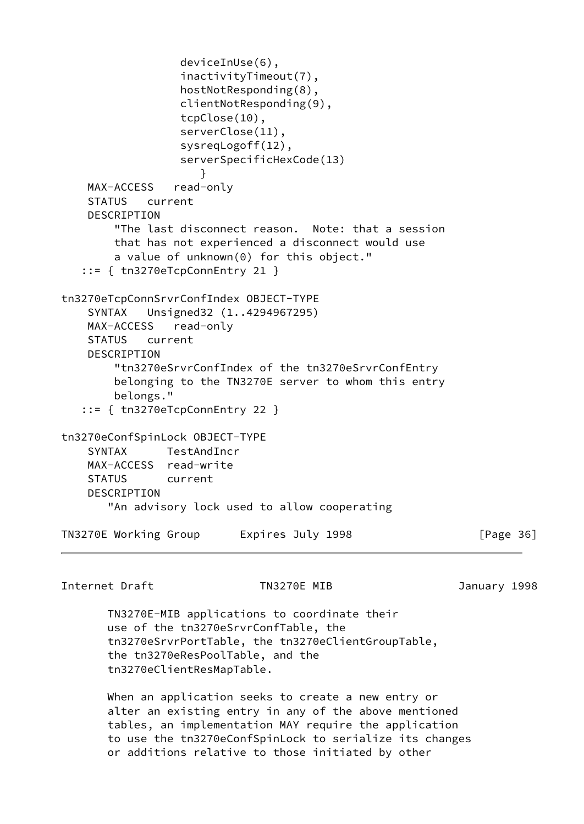```
 deviceInUse(6),
                  inactivityTimeout(7),
                  hostNotResponding(8),
                  clientNotResponding(9),
                  tcpClose(10),
                  serverClose(11),
                  sysreqLogoff(12),
                  serverSpecificHexCode(13)
 }
    MAX-ACCESS read-only
     STATUS current
     DESCRIPTION
        "The last disconnect reason. Note: that a session
        that has not experienced a disconnect would use
        a value of unknown(0) for this object."
    ::= { tn3270eTcpConnEntry 21 }
tn3270eTcpConnSrvrConfIndex OBJECT-TYPE
     SYNTAX Unsigned32 (1..4294967295)
    MAX-ACCESS read-only
    STATUS current
     DESCRIPTION
        "tn3270eSrvrConfIndex of the tn3270eSrvrConfEntry
        belonging to the TN3270E server to whom this entry
        belongs."
    ::= { tn3270eTcpConnEntry 22 }
tn3270eConfSpinLock OBJECT-TYPE
    SYNTAX TestAndIncr
    MAX-ACCESS read-write
    STATUS current
    DESCRIPTION
       "An advisory lock used to allow cooperating
TN3270E Working Group Lexpires July 1998 [Page 36]
```
Internet Draft TN3270E MIB January 1998

 TN3270E-MIB applications to coordinate their use of the tn3270eSrvrConfTable, the tn3270eSrvrPortTable, the tn3270eClientGroupTable, the tn3270eResPoolTable, and the tn3270eClientResMapTable.

 When an application seeks to create a new entry or alter an existing entry in any of the above mentioned tables, an implementation MAY require the application to use the tn3270eConfSpinLock to serialize its changes or additions relative to those initiated by other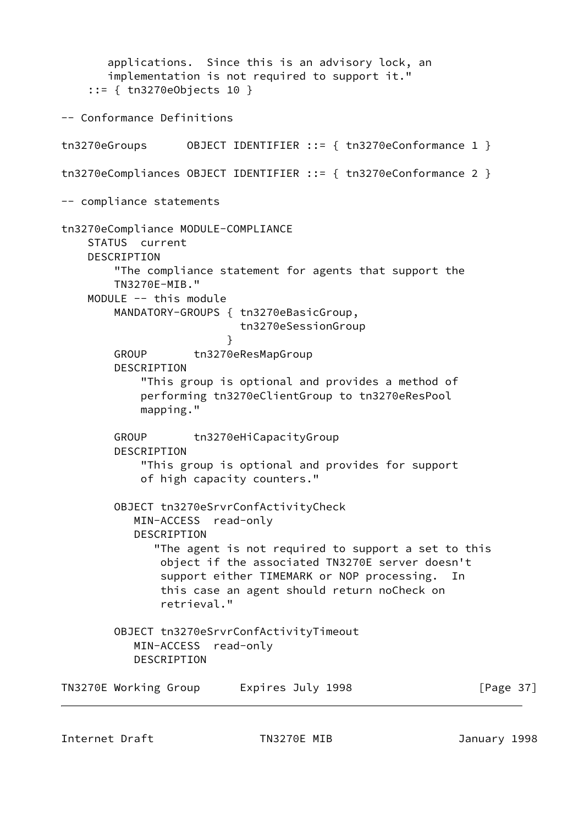applications. Since this is an advisory lock, an implementation is not required to support it." ::= { tn3270eObjects 10 } -- Conformance Definitions tn3270eGroups OBJECT IDENTIFIER ::= { tn3270eConformance 1 } tn3270eCompliances OBJECT IDENTIFIER ::= { tn3270eConformance 2 } -- compliance statements tn3270eCompliance MODULE-COMPLIANCE STATUS current DESCRIPTION "The compliance statement for agents that support the TN3270E-MIB." MODULE -- this module MANDATORY-GROUPS { tn3270eBasicGroup, tn3270eSessionGroup } GROUP tn3270eResMapGroup DESCRIPTION "This group is optional and provides a method of performing tn3270eClientGroup to tn3270eResPool mapping." GROUP tn3270eHiCapacityGroup DESCRIPTION "This group is optional and provides for support of high capacity counters." OBJECT tn3270eSrvrConfActivityCheck MIN-ACCESS read-only DESCRIPTION "The agent is not required to support a set to this object if the associated TN3270E server doesn't support either TIMEMARK or NOP processing. In this case an agent should return noCheck on retrieval." OBJECT tn3270eSrvrConfActivityTimeout MIN-ACCESS read-only DESCRIPTION TN3270E Working Group Lexpires July 1998 [Page 37]

Internet Draft TN3270E MIB January 1998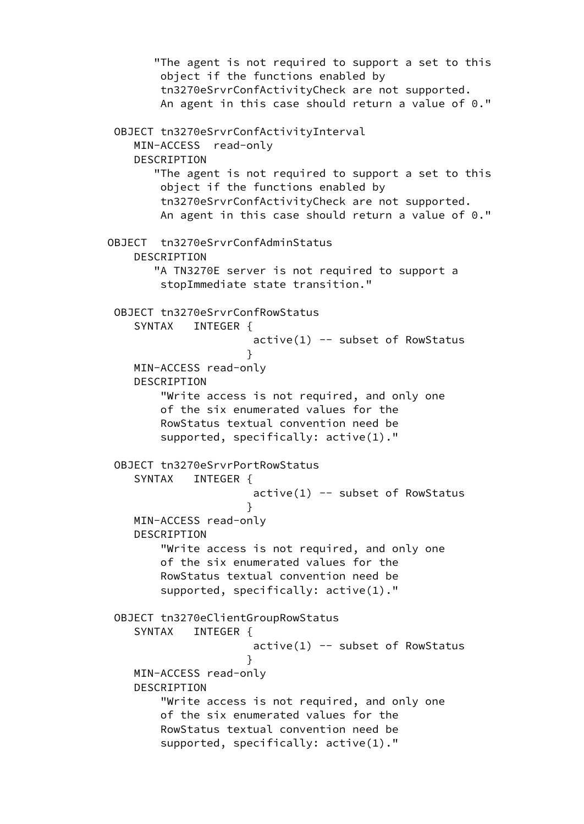```
 "The agent is not required to support a set to this
               object if the functions enabled by
               tn3270eSrvrConfActivityCheck are not supported.
               An agent in this case should return a value of 0."
        OBJECT tn3270eSrvrConfActivityInterval
           MIN-ACCESS read-only
           DESCRIPTION
              "The agent is not required to support a set to this
               object if the functions enabled by
               tn3270eSrvrConfActivityCheck are not supported.
               An agent in this case should return a value of 0."
       OBJECT tn3270eSrvrConfAdminStatus
           DESCRIPTION
              "A TN3270E server is not required to support a
               stopImmediate state transition."
        OBJECT tn3270eSrvrConfRowStatus
          SYNTAX INTEGER {
                            active(1) -- subset of RowStatus
 }
           MIN-ACCESS read-only
           DESCRIPTION
               "Write access is not required, and only one
               of the six enumerated values for the
               RowStatus textual convention need be
               supported, specifically: active(1)."
        OBJECT tn3270eSrvrPortRowStatus
          SYNTAX INTEGER {
                            active(1) -- subset of RowStatus
 }
           MIN-ACCESS read-only
           DESCRIPTION
               "Write access is not required, and only one
               of the six enumerated values for the
               RowStatus textual convention need be
               supported, specifically: active(1)."
        OBJECT tn3270eClientGroupRowStatus
          SYNTAX INTEGER {
                            active(1) -- subset of RowStatus
 }
           MIN-ACCESS read-only
           DESCRIPTION
               "Write access is not required, and only one
               of the six enumerated values for the
               RowStatus textual convention need be
               supported, specifically: active(1)."
```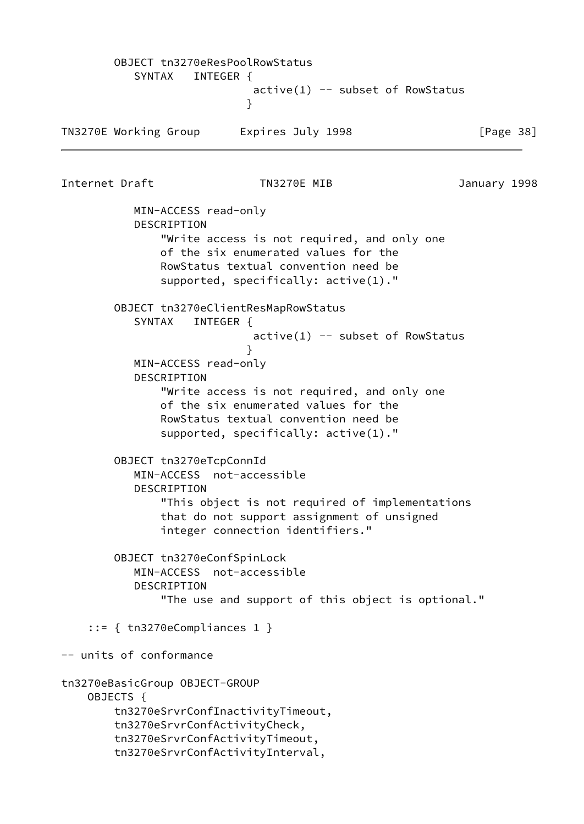OBJECT tn3270eResPoolRowStatus SYNTAX INTEGER {  $active(1)$  -- subset of RowStatus } TN3270E Working Group Latering Expires July 1998 The State of Page 38] Internet Draft TN3270E MIB January 1998 MIN-ACCESS read-only DESCRIPTION "Write access is not required, and only one of the six enumerated values for the RowStatus textual convention need be supported, specifically: active(1)." OBJECT tn3270eClientResMapRowStatus SYNTAX INTEGER {  $active(1)$  -- subset of RowStatus } MIN-ACCESS read-only DESCRIPTION "Write access is not required, and only one of the six enumerated values for the RowStatus textual convention need be supported, specifically: active(1)." OBJECT tn3270eTcpConnId MIN-ACCESS not-accessible DESCRIPTION "This object is not required of implementations that do not support assignment of unsigned integer connection identifiers." OBJECT tn3270eConfSpinLock MIN-ACCESS not-accessible DESCRIPTION "The use and support of this object is optional." ::= { tn3270eCompliances 1 } -- units of conformance tn3270eBasicGroup OBJECT-GROUP OBJECTS { tn3270eSrvrConfInactivityTimeout, tn3270eSrvrConfActivityCheck, tn3270eSrvrConfActivityTimeout, tn3270eSrvrConfActivityInterval,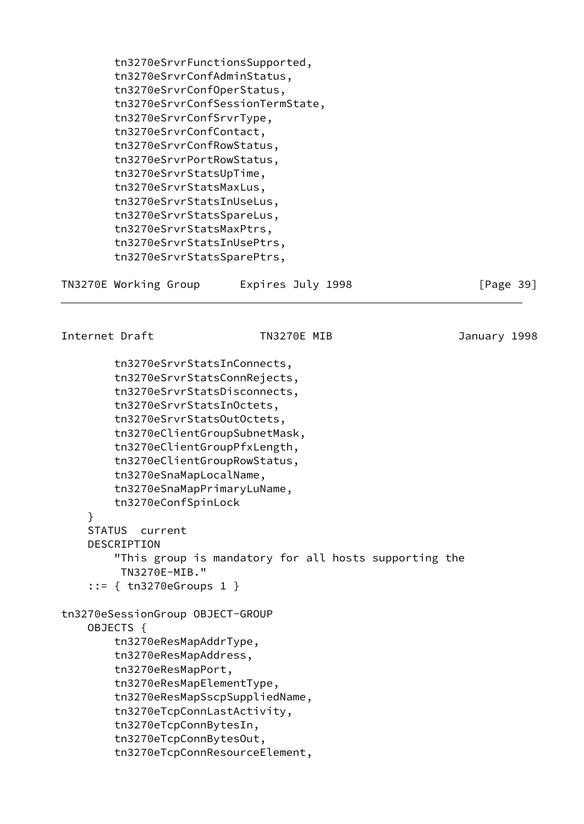tn3270eSrvrFunctionsSupported, tn3270eSrvrConfAdminStatus, tn3270eSrvrConfOperStatus, tn3270eSrvrConfSessionTermState, tn3270eSrvrConfSrvrType, tn3270eSrvrConfContact, tn3270eSrvrConfRowStatus, tn3270eSrvrPortRowStatus, tn3270eSrvrStatsUpTime, tn3270eSrvrStatsMaxLus, tn3270eSrvrStatsInUseLus, tn3270eSrvrStatsSpareLus, tn3270eSrvrStatsMaxPtrs, tn3270eSrvrStatsInUsePtrs, tn3270eSrvrStatsSparePtrs, TN3270E Working Group Lexpires July 1998 TN3270E Working Group Internet Draft TN3270E MIB January 1998 tn3270eSrvrStatsInConnects, tn3270eSrvrStatsConnRejects, tn3270eSrvrStatsDisconnects, tn3270eSrvrStatsInOctets, tn3270eSrvrStatsOutOctets, tn3270eClientGroupSubnetMask, tn3270eClientGroupPfxLength, tn3270eClientGroupRowStatus, tn3270eSnaMapLocalName, tn3270eSnaMapPrimaryLuName, tn3270eConfSpinLock } STATUS current DESCRIPTION "This group is mandatory for all hosts supporting the TN3270E-MIB." ::= { tn3270eGroups 1 } tn3270eSessionGroup OBJECT-GROUP OBJECTS { tn3270eResMapAddrType, tn3270eResMapAddress, tn3270eResMapPort, tn3270eResMapElementType, tn3270eResMapSscpSuppliedName, tn3270eTcpConnLastActivity, tn3270eTcpConnBytesIn, tn3270eTcpConnBytesOut, tn3270eTcpConnResourceElement,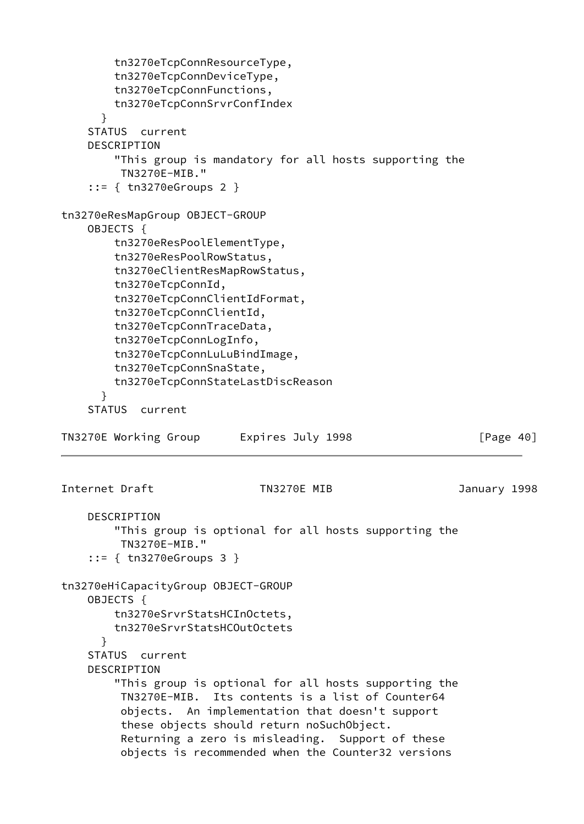```
 tn3270eTcpConnResourceType,
         tn3270eTcpConnDeviceType,
         tn3270eTcpConnFunctions,
         tn3270eTcpConnSrvrConfIndex
       }
     STATUS current
     DESCRIPTION
         "This group is mandatory for all hosts supporting the
         TN3270E-MIB."
     ::= { tn3270eGroups 2 }
tn3270eResMapGroup OBJECT-GROUP
     OBJECTS {
         tn3270eResPoolElementType,
         tn3270eResPoolRowStatus,
         tn3270eClientResMapRowStatus,
         tn3270eTcpConnId,
         tn3270eTcpConnClientIdFormat,
         tn3270eTcpConnClientId,
         tn3270eTcpConnTraceData,
         tn3270eTcpConnLogInfo,
         tn3270eTcpConnLuLuBindImage,
         tn3270eTcpConnSnaState,
         tn3270eTcpConnStateLastDiscReason
       }
     STATUS current
TN3270E Working Group Lexpires July 1998 [Page 40]
Internet Draft TN3270E MIB January 1998
     DESCRIPTION
         "This group is optional for all hosts supporting the
         TN3270E-MIB."
     ::= { tn3270eGroups 3 }
tn3270eHiCapacityGroup OBJECT-GROUP
     OBJECTS {
         tn3270eSrvrStatsHCInOctets,
         tn3270eSrvrStatsHCOutOctets
       }
     STATUS current
     DESCRIPTION
         "This group is optional for all hosts supporting the
          TN3270E-MIB. Its contents is a list of Counter64
          objects. An implementation that doesn't support
          these objects should return noSuchObject.
          Returning a zero is misleading. Support of these
          objects is recommended when the Counter32 versions
```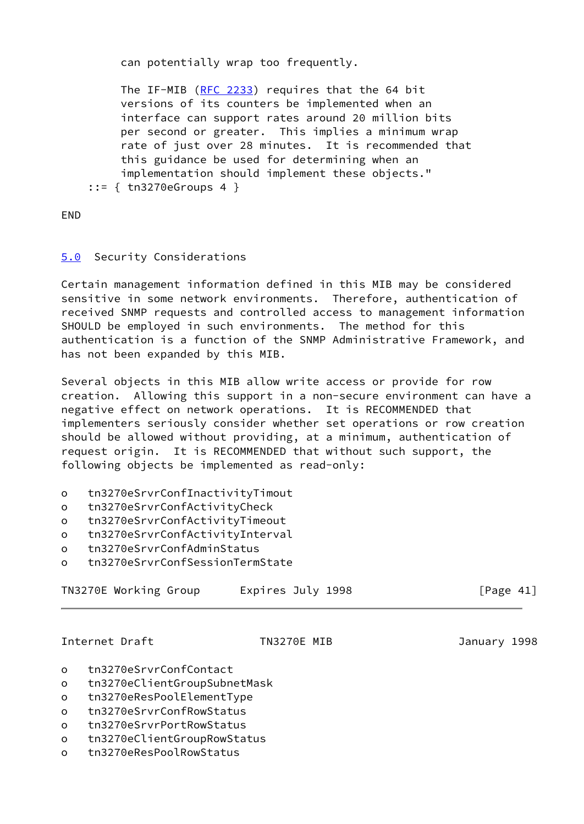can potentially wrap too frequently.

 The IF-MIB [\(RFC 2233](https://datatracker.ietf.org/doc/pdf/rfc2233)) requires that the 64 bit versions of its counters be implemented when an interface can support rates around 20 million bits per second or greater. This implies a minimum wrap rate of just over 28 minutes. It is recommended that this guidance be used for determining when an implementation should implement these objects." ::= { tn3270eGroups 4 }

END

## <span id="page-49-0"></span>[5.0](#page-49-0) Security Considerations

Certain management information defined in this MIB may be considered sensitive in some network environments. Therefore, authentication of received SNMP requests and controlled access to management information SHOULD be employed in such environments. The method for this authentication is a function of the SNMP Administrative Framework, and has not been expanded by this MIB.

Several objects in this MIB allow write access or provide for row creation. Allowing this support in a non-secure environment can have a negative effect on network operations. It is RECOMMENDED that implementers seriously consider whether set operations or row creation should be allowed without providing, at a minimum, authentication of request origin. It is RECOMMENDED that without such support, the following objects be implemented as read-only:

- o tn3270eSrvrConfInactivityTimout
- o tn3270eSrvrConfActivityCheck
- o tn3270eSrvrConfActivityTimeout
- o tn3270eSrvrConfActivityInterval
- o tn3270eSrvrConfAdminStatus
- o tn3270eSrvrConfSessionTermState

| TN3270E Working Group | Expires July 1998 | [Page 41]    |
|-----------------------|-------------------|--------------|
|                       |                   |              |
| Internet Draft        | TN3270E MIB       | January 1998 |

<span id="page-49-1"></span>

- o tn3270eSrvrConfContact
- o tn3270eClientGroupSubnetMask
- o tn3270eResPoolElementType
- o tn3270eSrvrConfRowStatus
- o tn3270eSrvrPortRowStatus
- o tn3270eClientGroupRowStatus
- o tn3270eResPoolRowStatus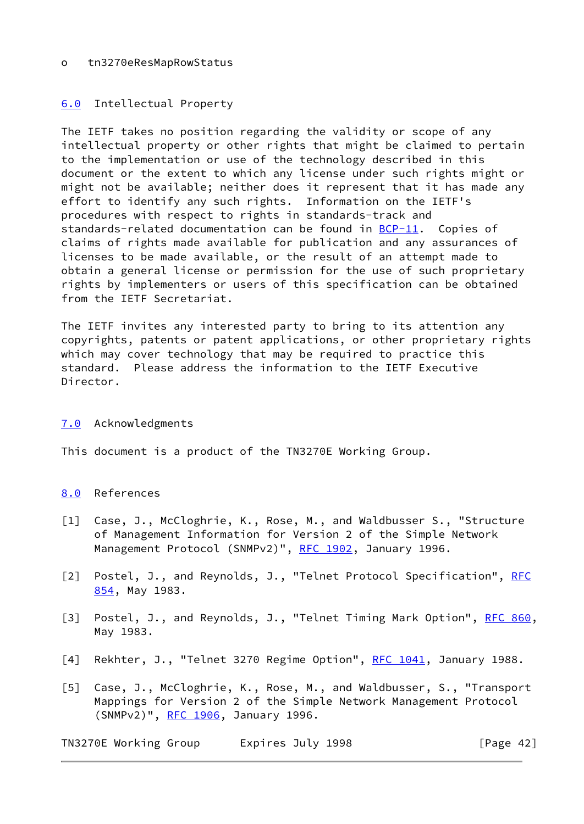## o tn3270eResMapRowStatus

## <span id="page-50-4"></span>[6.0](#page-50-4) Intellectual Property

The IETF takes no position regarding the validity or scope of any intellectual property or other rights that might be claimed to pertain to the implementation or use of the technology described in this document or the extent to which any license under such rights might or might not be available; neither does it represent that it has made any effort to identify any such rights. Information on the IETF's procedures with respect to rights in standards-track and standards-related documentation can be found in [BCP-11](https://datatracker.ietf.org/doc/pdf/bcp11). Copies of claims of rights made available for publication and any assurances of licenses to be made available, or the result of an attempt made to obtain a general license or permission for the use of such proprietary rights by implementers or users of this specification can be obtained from the IETF Secretariat.

The IETF invites any interested party to bring to its attention any copyrights, patents or patent applications, or other proprietary rights which may cover technology that may be required to practice this standard. Please address the information to the IETF Executive Director.

## <span id="page-50-5"></span>[7.0](#page-50-5) Acknowledgments

This document is a product of the TN3270E Working Group.

## <span id="page-50-6"></span>[8.0](#page-50-6) References

- <span id="page-50-3"></span>[1] Case, J., McCloghrie, K., Rose, M., and Waldbusser S., "Structure of Management Information for Version 2 of the Simple Network Management Protocol (SNMPv2)", [RFC 1902](https://datatracker.ietf.org/doc/pdf/rfc1902), January 1996.
- <span id="page-50-1"></span>[2] Postel, J., and Reynolds, J., "Telnet Protocol Specification", [RFC](https://datatracker.ietf.org/doc/pdf/rfc854) [854](https://datatracker.ietf.org/doc/pdf/rfc854), May 1983.
- <span id="page-50-2"></span>[3] Postel, J., and Reynolds, J., "Telnet Timing Mark Option", [RFC 860](https://datatracker.ietf.org/doc/pdf/rfc860), May 1983.
- <span id="page-50-0"></span>[4] Rekhter, J., "Telnet 3270 Regime Option", [RFC 1041,](https://datatracker.ietf.org/doc/pdf/rfc1041) January 1988.
- <span id="page-50-7"></span>[5] Case, J., McCloghrie, K., Rose, M., and Waldbusser, S., "Transport Mappings for Version 2 of the Simple Network Management Protocol (SNMPv2)", [RFC 1906](https://datatracker.ietf.org/doc/pdf/rfc1906), January 1996.

TN3270E Working Group Lexpires July 1998 [Page 42]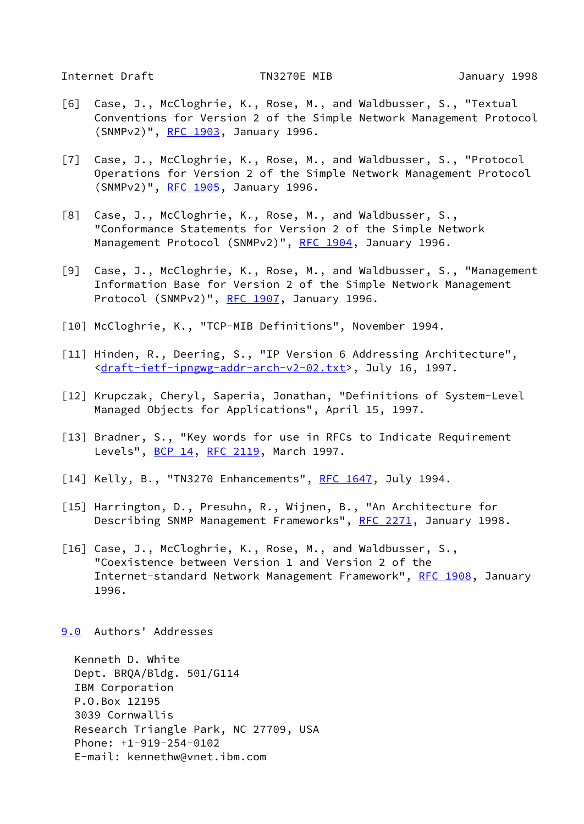<span id="page-51-2"></span>Internet Draft TN3270E MIB January 1998

- <span id="page-51-4"></span>[6] Case, J., McCloghrie, K., Rose, M., and Waldbusser, S., "Textual Conventions for Version 2 of the Simple Network Management Protocol (SNMPv2)", [RFC 1903](https://datatracker.ietf.org/doc/pdf/rfc1903), January 1996.
- <span id="page-51-6"></span>[7] Case, J., McCloghrie, K., Rose, M., and Waldbusser, S., "Protocol Operations for Version 2 of the Simple Network Management Protocol (SNMPv2)", [RFC 1905](https://datatracker.ietf.org/doc/pdf/rfc1905), January 1996.
- <span id="page-51-5"></span>[8] Case, J., McCloghrie, K., Rose, M., and Waldbusser, S., "Conformance Statements for Version 2 of the Simple Network Management Protocol (SNMPv2)", [RFC 1904](https://datatracker.ietf.org/doc/pdf/rfc1904), January 1996.
- <span id="page-51-7"></span>[9] Case, J., McCloghrie, K., Rose, M., and Waldbusser, S., "Management Information Base for Version 2 of the Simple Network Management Protocol (SNMPv2)", [RFC 1907](https://datatracker.ietf.org/doc/pdf/rfc1907), January 1996.
- <span id="page-51-11"></span>[10] McCloghrie, K., "TCP-MIB Definitions", November 1994.
- [11] Hinden, R., Deering, S., "IP Version 6 Addressing Architecture", <[draft-ietf-ipngwg-addr-arch-v2-02.txt>](https://datatracker.ietf.org/doc/pdf/draft-ietf-ipngwg-addr-arch-v2-02.txt), July 16, 1997.
- <span id="page-51-9"></span>[12] Krupczak, Cheryl, Saperia, Jonathan, "Definitions of System-Level Managed Objects for Applications", April 15, 1997.
- <span id="page-51-3"></span>[13] Bradner, S., "Key words for use in RFCs to Indicate Requirement Levels", [BCP 14](https://datatracker.ietf.org/doc/pdf/bcp14), [RFC 2119,](https://datatracker.ietf.org/doc/pdf/rfc2119) March 1997.
- <span id="page-51-0"></span>[14] Kelly, B., "TN3270 Enhancements", [RFC 1647,](https://datatracker.ietf.org/doc/pdf/rfc1647) July 1994.
- <span id="page-51-10"></span>[15] Harrington, D., Presuhn, R., Wijnen, B., "An Architecture for Describing SNMP Management Frameworks", [RFC 2271](https://datatracker.ietf.org/doc/pdf/rfc2271), January 1998.
- <span id="page-51-8"></span>[16] Case, J., McCloghrie, K., Rose, M., and Waldbusser, S., "Coexistence between Version 1 and Version 2 of the Internet-standard Network Management Framework", [RFC 1908,](https://datatracker.ietf.org/doc/pdf/rfc1908) January 1996.
- <span id="page-51-1"></span>[9.0](#page-51-1) Authors' Addresses

 Kenneth D. White Dept. BRQA/Bldg. 501/G114 IBM Corporation P.O.Box 12195 3039 Cornwallis Research Triangle Park, NC 27709, USA Phone: +1-919-254-0102 E-mail: kennethw@vnet.ibm.com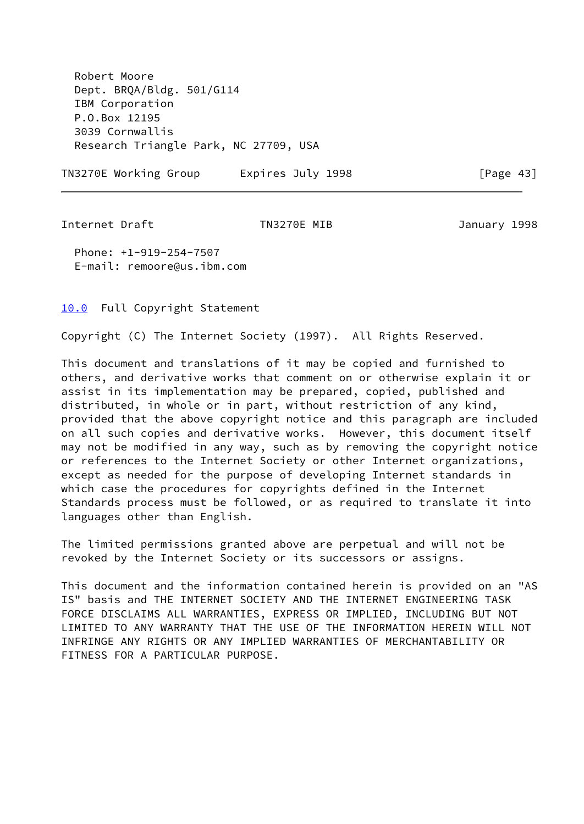Robert Moore Dept. BRQA/Bldg. 501/G114 IBM Corporation P.O.Box 12195 3039 Cornwallis Research Triangle Park, NC 27709, USA

TN3270E Working Group Lexpires July 1998 The Teage 43]

<span id="page-52-1"></span>Internet Draft TN3270E MIB January 1998

 Phone: +1-919-254-7507 E-mail: remoore@us.ibm.com

## <span id="page-52-0"></span>[10.0](#page-52-0) Full Copyright Statement

Copyright (C) The Internet Society (1997). All Rights Reserved.

This document and translations of it may be copied and furnished to others, and derivative works that comment on or otherwise explain it or assist in its implementation may be prepared, copied, published and distributed, in whole or in part, without restriction of any kind, provided that the above copyright notice and this paragraph are included on all such copies and derivative works. However, this document itself may not be modified in any way, such as by removing the copyright notice or references to the Internet Society or other Internet organizations, except as needed for the purpose of developing Internet standards in which case the procedures for copyrights defined in the Internet Standards process must be followed, or as required to translate it into languages other than English.

The limited permissions granted above are perpetual and will not be revoked by the Internet Society or its successors or assigns.

This document and the information contained herein is provided on an "AS IS" basis and THE INTERNET SOCIETY AND THE INTERNET ENGINEERING TASK FORCE DISCLAIMS ALL WARRANTIES, EXPRESS OR IMPLIED, INCLUDING BUT NOT LIMITED TO ANY WARRANTY THAT THE USE OF THE INFORMATION HEREIN WILL NOT INFRINGE ANY RIGHTS OR ANY IMPLIED WARRANTIES OF MERCHANTABILITY OR FITNESS FOR A PARTICULAR PURPOSE.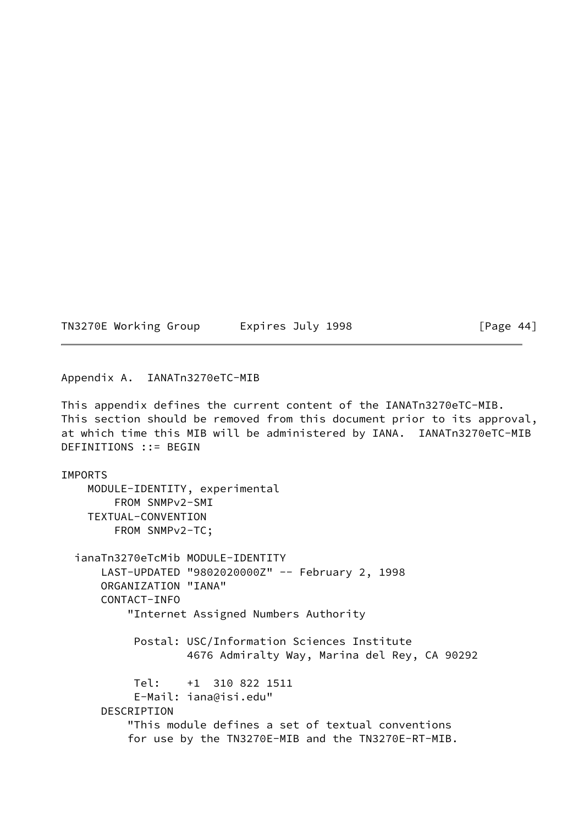TN3270E Working Group Lexpires July 1998 [Page 44]

#### Appendix A. IANATn3270eTC-MIB

This appendix defines the current content of the IANATn3270eTC-MIB. This section should be removed from this document prior to its approval, at which time this MIB will be administered by IANA. IANATn3270eTC-MIB DEFINITIONS ::= BEGIN

IMPORTS MODULE-IDENTITY, experimental FROM SNMPv2-SMI TEXTUAL-CONVENTION FROM SNMPv2-TC; ianaTn3270eTcMib MODULE-IDENTITY LAST-UPDATED "9802020000Z" -- February 2, 1998 ORGANIZATION "IANA" CONTACT-INFO "Internet Assigned Numbers Authority Postal: USC/Information Sciences Institute 4676 Admiralty Way, Marina del Rey, CA 90292 Tel: +1 310 822 1511 E-Mail: iana@isi.edu" DESCRIPTION "This module defines a set of textual conventions for use by the TN3270E-MIB and the TN3270E-RT-MIB.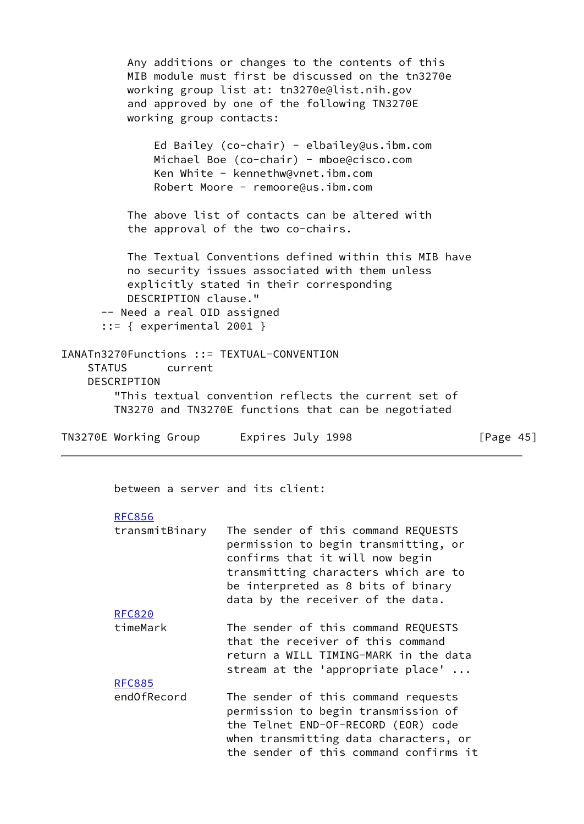Any additions or changes to the contents of this MIB module must first be discussed on the tn3270e working group list at: tn3270e@list.nih.gov and approved by one of the following TN3270E working group contacts: Ed Bailey (co-chair) - elbailey@us.ibm.com Michael Boe (co-chair) - mboe@cisco.com Ken White - kennethw@vnet.ibm.com Robert Moore - remoore@us.ibm.com The above list of contacts can be altered with the approval of the two co-chairs. The Textual Conventions defined within this MIB have no security issues associated with them unless explicitly stated in their corresponding DESCRIPTION clause." -- Need a real OID assigned  $::=$  { experimental 2001 } IANATn3270Functions ::= TEXTUAL-CONVENTION STATUS current DESCRIPTION "This textual convention reflects the current set of TN3270 and TN3270E functions that can be negotiated

TN3270E Working Group Lexpires July 1998 [Page 45]

between a server and its client:

#### [RFC856](https://datatracker.ietf.org/doc/pdf/rfc856)

[RFC885](https://datatracker.ietf.org/doc/pdf/rfc885)

| transmitBinary | The sender of this command REQUESTS  |
|----------------|--------------------------------------|
|                | permission to begin transmitting, or |
|                | confirms that it will now begin      |
|                | transmitting characters which are to |
|                | be interpreted as 8 bits of binary   |
|                | data by the receiver of the data.    |
| <b>RFC820</b>  |                                      |
| timeMark       | The sender of this command REQUESTS  |

| timeMark | The sender of this command REQUESTS   |
|----------|---------------------------------------|
|          | that the receiver of this command     |
|          | return a WILL TIMING-MARK in the data |
|          | stream at the 'appropriate place'     |

 endOfRecord The sender of this command requests permission to begin transmission of the Telnet END-OF-RECORD (EOR) code when transmitting data characters, or the sender of this command confirms it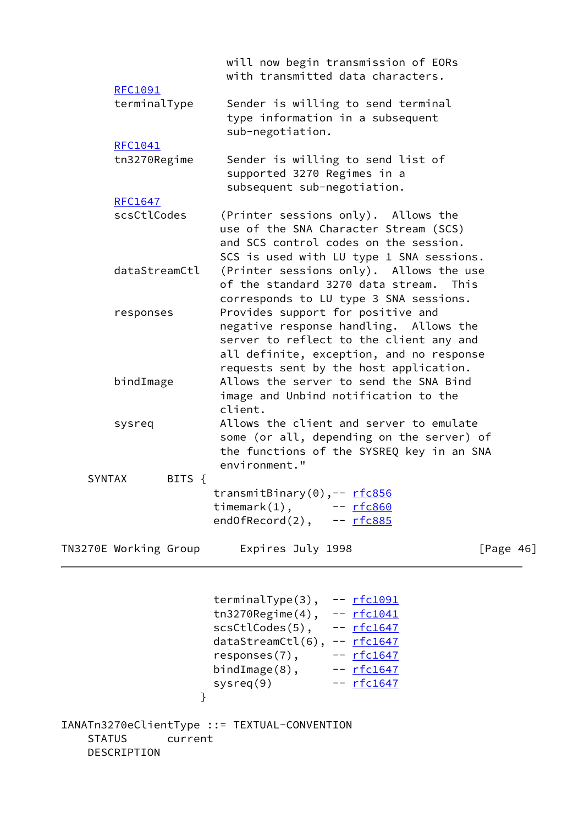|               |                        | will now begin transmission of EORs<br>with transmitted data characters.                                                                                                                                     |  |
|---------------|------------------------|--------------------------------------------------------------------------------------------------------------------------------------------------------------------------------------------------------------|--|
|               | RFC1091                |                                                                                                                                                                                                              |  |
|               | terminalType           | Sender is willing to send terminal<br>type information in a subsequent<br>sub-negotiation.                                                                                                                   |  |
|               | RFC1041                |                                                                                                                                                                                                              |  |
|               | tn3270Regime           | Sender is willing to send list of<br>supported 3270 Regimes in a<br>subsequent sub-negotiation.                                                                                                              |  |
|               | <b>RFC1647</b>         |                                                                                                                                                                                                              |  |
|               | scsCtlCodes            | (Printer sessions only). Allows the<br>use of the SNA Character Stream (SCS)<br>and SCS control codes on the session.<br>SCS is used with LU type 1 SNA sessions.                                            |  |
|               | dataStreamCtl          | (Printer sessions only). Allows the use<br>of the standard 3270 data stream.<br>This                                                                                                                         |  |
|               | responses              | corresponds to LU type 3 SNA sessions.<br>Provides support for positive and<br>negative response handling. Allows the<br>server to reflect to the client any and<br>all definite, exception, and no response |  |
|               | bindImage              | requests sent by the host application.<br>Allows the server to send the SNA Bind<br>image and Unbind notification to the<br>client.                                                                          |  |
|               | sysreq                 | Allows the client and server to emulate<br>some (or all, depending on the server) of<br>the functions of the SYSREQ key in an SNA<br>environment."                                                           |  |
| <b>SYNTAX</b> | BITS $\{$              |                                                                                                                                                                                                              |  |
|               |                        | transmitBinary(0),-- rfc856<br>timemark $(1)$ , $-$ rfc860<br>$end0fRecord(2)$ , $-rfc885$                                                                                                                   |  |
|               | TN3270E Working Group  | Expires July 1998<br>[Page 46]                                                                                                                                                                               |  |
|               | }                      | terminalType $(3)$ , -- $rfc1091$<br>tn3270Regime(4), $--$ rfc1041<br>$scstlcodes(5)$ , -- $rfc1647$<br>$dataStreamCut(6), -- rfc1647$<br>bindImage $(8)$ , $  rfc1647$<br>-- <u>rfc1647</u><br>system(9)    |  |
| <b>STATUS</b> | current<br>DESCRIPTION | IANATn3270eClientType ::= TEXTUAL-CONVENTION                                                                                                                                                                 |  |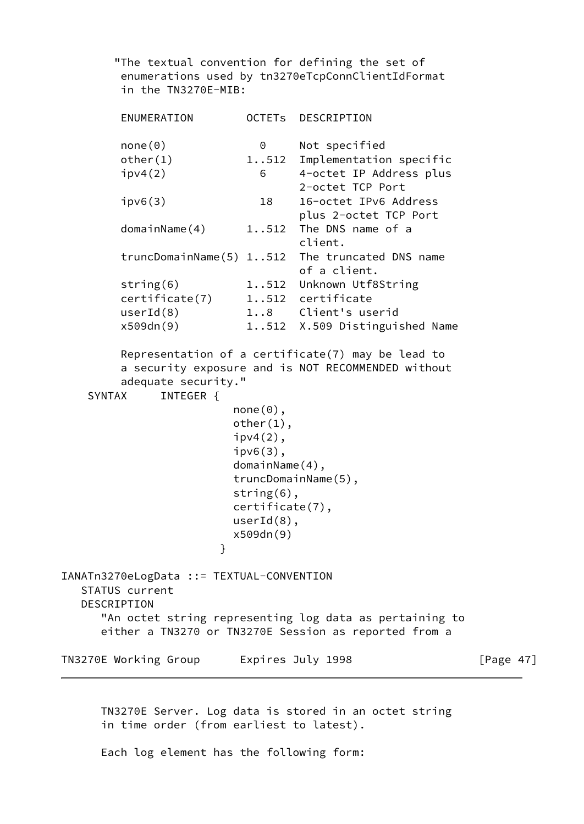"The textual convention for defining the set of enumerations used by tn3270eTcpConnClientIdFormat in the TN3270E-MIB:

 ENUMERATION OCTETs DESCRIPTION none(0) 0 Not specified other(1) 1..512 Implementation specific ipv4(2) 6 4-octet IP Address plus 2-octet TCP Port ipv6(3) 18 16-octet IPv6 Address plus 2-octet TCP Port domainName(4) 1..512 The DNS name of a client. truncDomainName(5) 1..512 The truncated DNS name of a client. string(6) 1..512 Unknown Utf8String certificate(7) 1..512 certificate userId(8) 1..8 Client's userid x509dn(9) 1..512 X.509 Distinguished Name Representation of a certificate(7) may be lead to a security exposure and is NOT RECOMMENDED without adequate security." SYNTAX INTEGER {  $none(0)$ , other(1),  $ipv4(2)$ , ipv6(3), domainName(4), truncDomainName(5), string(6), certificate(7), userId(8), x509dn(9) } IANATn3270eLogData ::= TEXTUAL-CONVENTION STATUS current DESCRIPTION "An octet string representing log data as pertaining to either a TN3270 or TN3270E Session as reported from a TN3270E Working Group Lexpires July 1998 [Page 47]

 TN3270E Server. Log data is stored in an octet string in time order (from earliest to latest).

Each log element has the following form: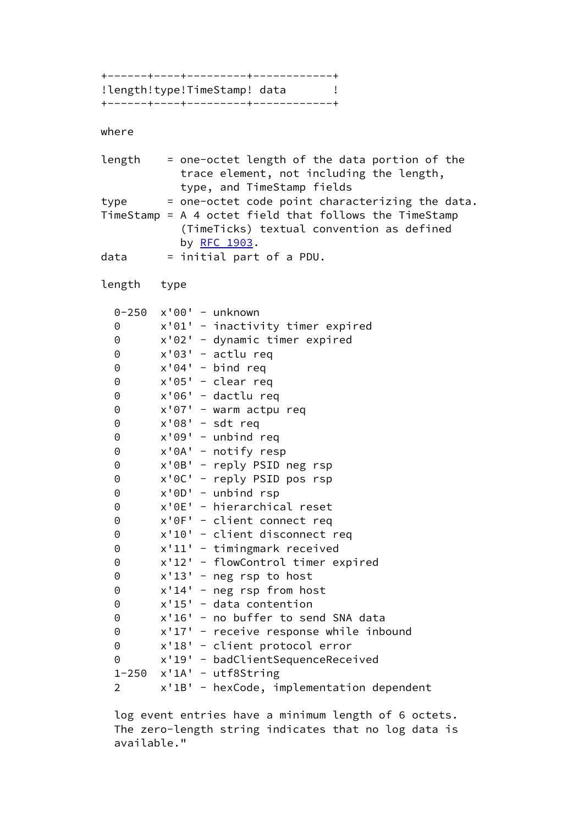+------+----+---------+------------+ !length!type!TimeStamp! data ! +------+----+---------+------------+

#### where

 length = one-octet length of the data portion of the trace element, not including the length, type, and TimeStamp fields type = one-octet code point characterizing the data. TimeStamp = A 4 octet field that follows the TimeStamp (TimeTicks) textual convention as defined by [RFC 1903](https://datatracker.ietf.org/doc/pdf/rfc1903).  $data = initial part of a PDU.$  length type 0-250 x'00' - unknown 0 x'01' - inactivity timer expired 0 x'02' - dynamic timer expired 0 x'03' - actlu req 0 x'04' - bind req 0 x'05' - clear req 0 x'06' - dactlu req 0 x'07' - warm actpu req 0 x'08' - sdt req 0 x'09' - unbind req 0 x'0A' - notify resp 0 x'0B' - reply PSID neg rsp 0 x'0C' - reply PSID pos rsp 0 x'0D' - unbind rsp 0 x'0E' - hierarchical reset 0 x'0F' - client connect req 0 x'10' - client disconnect req 0 x'11' - timingmark received 0 x'12' - flowControl timer expired 0 x'13' - neg rsp to host 0 x'14' - neg rsp from host 0 x'15' - data contention 0 x'16' - no buffer to send SNA data 0 x'17' - receive response while inbound 0 x'18' - client protocol error 0 x'19' - badClientSequenceReceived  $1-250$   $x'1A'$  - utf8String 2 x'1B' - hexCode, implementation dependent

 log event entries have a minimum length of 6 octets. The zero-length string indicates that no log data is available."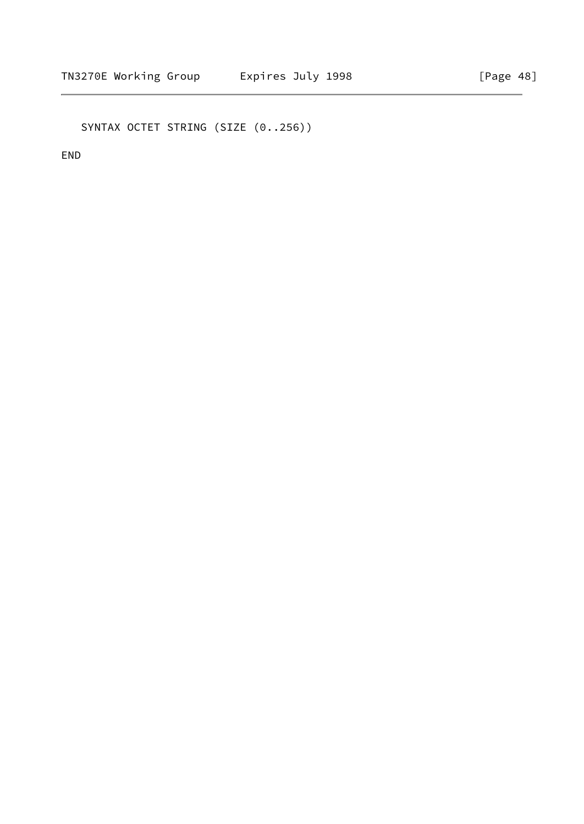SYNTAX OCTET STRING (SIZE (0..256))

END